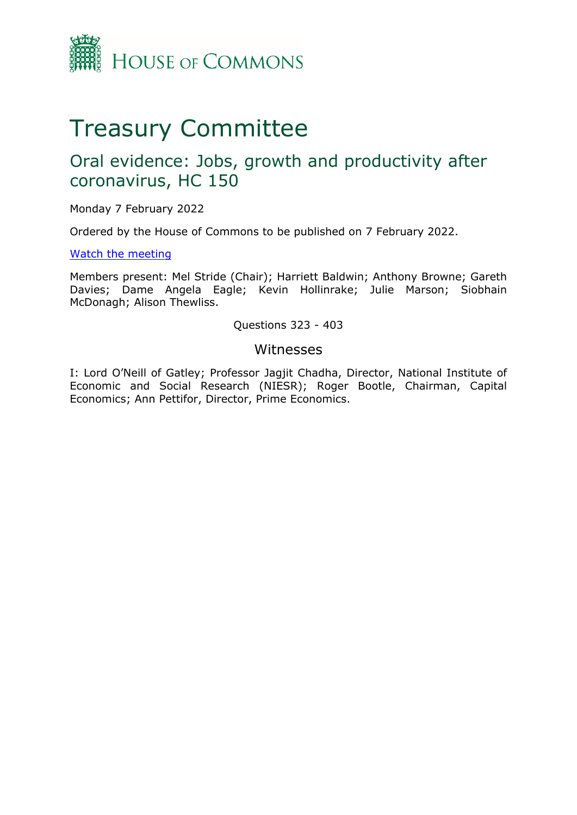

# Treasury Committee

## Oral evidence: Jobs, growth and productivity after coronavirus, HC 150

Monday 7 February 2022

Ordered by the House of Commons to be published on 7 February 2022.

[Watch](https://parliamentlive.tv/Event/Index/265289d1-c8ae-4101-8342-5a495e98d583) [the](https://parliamentlive.tv/Event/Index/265289d1-c8ae-4101-8342-5a495e98d583) [meeting](https://parliamentlive.tv/Event/Index/265289d1-c8ae-4101-8342-5a495e98d583)

Members present: Mel Stride (Chair); Harriett Baldwin; Anthony Browne; Gareth Davies; Dame Angela Eagle; Kevin Hollinrake; Julie Marson; Siobhain McDonagh; Alison Thewliss.

#### Questions 323 - 403

#### Witnesses

I: Lord O'Neill of Gatley; Professor Jagjit Chadha, Director, National Institute of Economic and Social Research (NIESR); Roger Bootle, Chairman, Capital Economics; Ann Pettifor, Director, Prime Economics.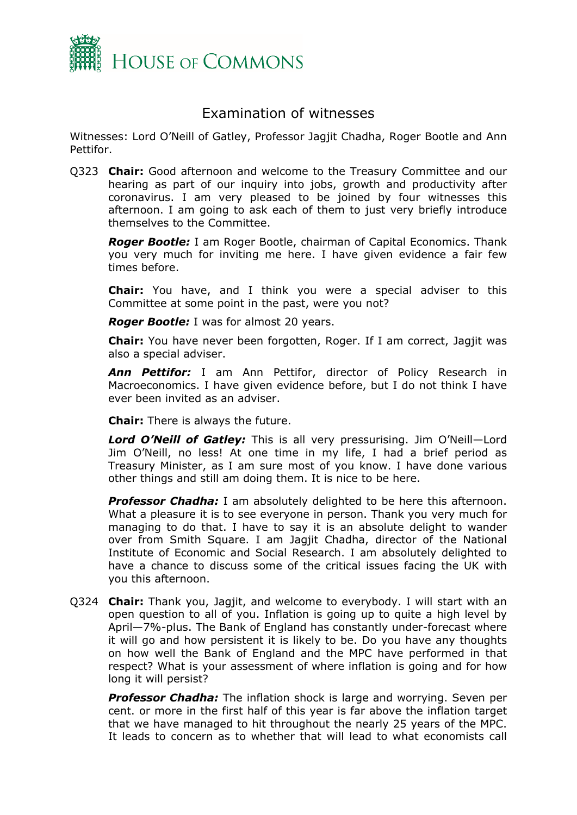

### Examination of witnesses

Witnesses: Lord O'Neill of Gatley, Professor Jagjit Chadha, Roger Bootle and Ann Pettifor.

Q323 **Chair:** Good afternoon and welcome to the Treasury Committee and our hearing as part of our inquiry into jobs, growth and productivity after coronavirus. I am very pleased to be joined by four witnesses this afternoon. I am going to ask each of them to just very briefly introduce themselves to the Committee.

*Roger Bootle:* I am Roger Bootle, chairman of Capital Economics. Thank you very much for inviting me here. I have given evidence a fair few times before.

**Chair:** You have, and I think you were a special adviser to this Committee at some point in the past, were you not?

*Roger Bootle:* I was for almost 20 years.

**Chair:** You have never been forgotten, Roger. If I am correct, Jagjit was also a special adviser.

*Ann Pettifor:* I am Ann Pettifor, director of Policy Research in Macroeconomics. I have given evidence before, but I do not think I have ever been invited as an adviser.

**Chair:** There is always the future.

*Lord O'Neill of Gatley:* This is all very pressurising. Jim O'Neill—Lord Jim O'Neill, no less! At one time in my life, I had a brief period as Treasury Minister, as I am sure most of you know. I have done various other things and still am doing them. It is nice to be here.

**Professor Chadha:** I am absolutely delighted to be here this afternoon. What a pleasure it is to see everyone in person. Thank you very much for managing to do that. I have to say it is an absolute delight to wander over from Smith Square. I am Jagjit Chadha, director of the National Institute of Economic and Social Research. I am absolutely delighted to have a chance to discuss some of the critical issues facing the UK with you this afternoon.

Q324 **Chair:** Thank you, Jagjit, and welcome to everybody. I will start with an open question to all of you. Inflation is going up to quite a high level by April—7%-plus. The Bank of England has constantly under-forecast where it will go and how persistent it is likely to be. Do you have any thoughts on how well the Bank of England and the MPC have performed in that respect? What is your assessment of where inflation is going and for how long it will persist?

*Professor Chadha:* The inflation shock is large and worrying. Seven per cent. or more in the first half of this year is far above the inflation target that we have managed to hit throughout the nearly 25 years of the MPC. It leads to concern as to whether that will lead to what economists call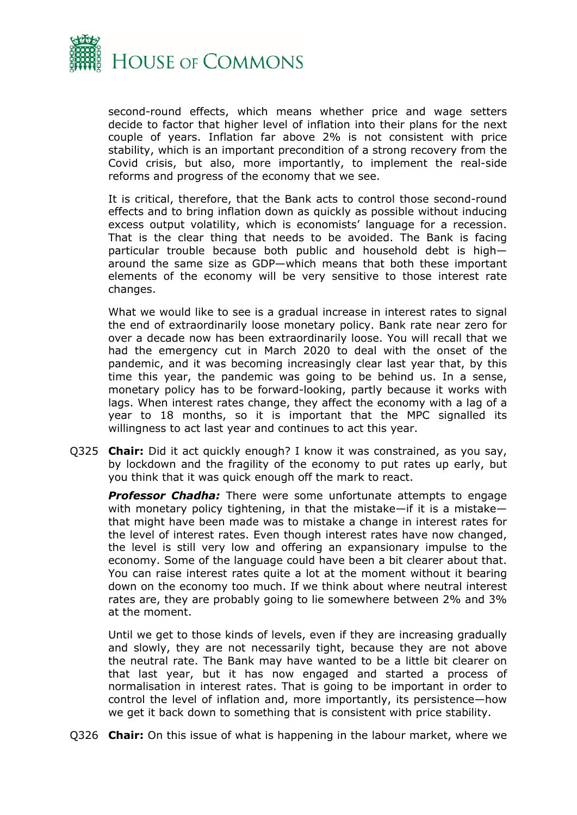

second-round effects, which means whether price and wage setters decide to factor that higher level of inflation into their plans for the next couple of years. Inflation far above 2% is not consistent with price stability, which is an important precondition of a strong recovery from the Covid crisis, but also, more importantly, to implement the real-side reforms and progress of the economy that we see.

It is critical, therefore, that the Bank acts to control those second-round effects and to bring inflation down as quickly as possible without inducing excess output volatility, which is economists' language for a recession. That is the clear thing that needs to be avoided. The Bank is facing particular trouble because both public and household debt is high around the same size as GDP—which means that both these important elements of the economy will be very sensitive to those interest rate changes.

What we would like to see is a gradual increase in interest rates to signal the end of extraordinarily loose monetary policy. Bank rate near zero for over a decade now has been extraordinarily loose. You will recall that we had the emergency cut in March 2020 to deal with the onset of the pandemic, and it was becoming increasingly clear last year that, by this time this year, the pandemic was going to be behind us. In a sense, monetary policy has to be forward-looking, partly because it works with lags. When interest rates change, they affect the economy with a lag of a year to 18 months, so it is important that the MPC signalled its willingness to act last year and continues to act this year.

Q325 **Chair:** Did it act quickly enough? I know it was constrained, as you say, by lockdown and the fragility of the economy to put rates up early, but you think that it was quick enough off the mark to react.

*Professor Chadha:* There were some unfortunate attempts to engage with monetary policy tightening, in that the mistake—if it is a mistake that might have been made was to mistake a change in interest rates for the level of interest rates. Even though interest rates have now changed, the level is still very low and offering an expansionary impulse to the economy. Some of the language could have been a bit clearer about that. You can raise interest rates quite a lot at the moment without it bearing down on the economy too much. If we think about where neutral interest rates are, they are probably going to lie somewhere between 2% and 3% at the moment.

Until we get to those kinds of levels, even if they are increasing gradually and slowly, they are not necessarily tight, because they are not above the neutral rate. The Bank may have wanted to be a little bit clearer on that last year, but it has now engaged and started a process of normalisation in interest rates. That is going to be important in order to control the level of inflation and, more importantly, its persistence—how we get it back down to something that is consistent with price stability.

Q326 **Chair:** On this issue of what is happening in the labour market, where we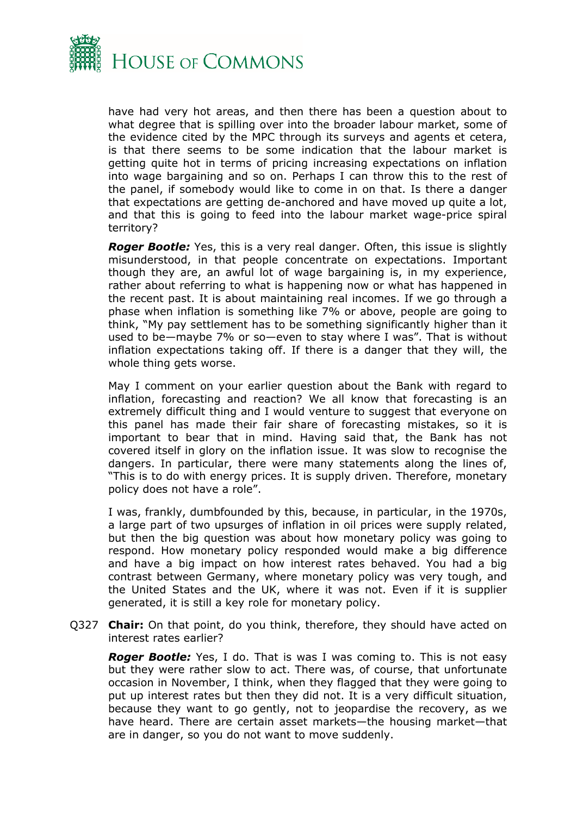

have had very hot areas, and then there has been a question about to what degree that is spilling over into the broader labour market, some of the evidence cited by the MPC through its surveys and agents et cetera, is that there seems to be some indication that the labour market is getting quite hot in terms of pricing increasing expectations on inflation into wage bargaining and so on. Perhaps I can throw this to the rest of the panel, if somebody would like to come in on that. Is there a danger that expectations are getting de-anchored and have moved up quite a lot, and that this is going to feed into the labour market wage-price spiral territory?

*Roger Bootle:* Yes, this is a very real danger. Often, this issue is slightly misunderstood, in that people concentrate on expectations. Important though they are, an awful lot of wage bargaining is, in my experience, rather about referring to what is happening now or what has happened in the recent past. It is about maintaining real incomes. If we go through a phase when inflation is something like 7% or above, people are going to think, "My pay settlement has to be something significantly higher than it used to be—maybe 7% or so—even to stay where I was". That is without inflation expectations taking off. If there is a danger that they will, the whole thing gets worse.

May I comment on your earlier question about the Bank with regard to inflation, forecasting and reaction? We all know that forecasting is an extremely difficult thing and I would venture to suggest that everyone on this panel has made their fair share of forecasting mistakes, so it is important to bear that in mind. Having said that, the Bank has not covered itself in glory on the inflation issue. It was slow to recognise the dangers. In particular, there were many statements along the lines of, "This is to do with energy prices. It is supply driven. Therefore, monetary policy does not have a role".

I was, frankly, dumbfounded by this, because, in particular, in the 1970s, a large part of two upsurges of inflation in oil prices were supply related, but then the big question was about how monetary policy was going to respond. How monetary policy responded would make a big difference and have a big impact on how interest rates behaved. You had a big contrast between Germany, where monetary policy was very tough, and the United States and the UK, where it was not. Even if it is supplier generated, it is still a key role for monetary policy.

Q327 **Chair:** On that point, do you think, therefore, they should have acted on interest rates earlier?

*Roger Bootle:* Yes, I do. That is was I was coming to. This is not easy but they were rather slow to act. There was, of course, that unfortunate occasion in November, I think, when they flagged that they were going to put up interest rates but then they did not. It is a very difficult situation, because they want to go gently, not to jeopardise the recovery, as we have heard. There are certain asset markets—the housing market—that are in danger, so you do not want to move suddenly.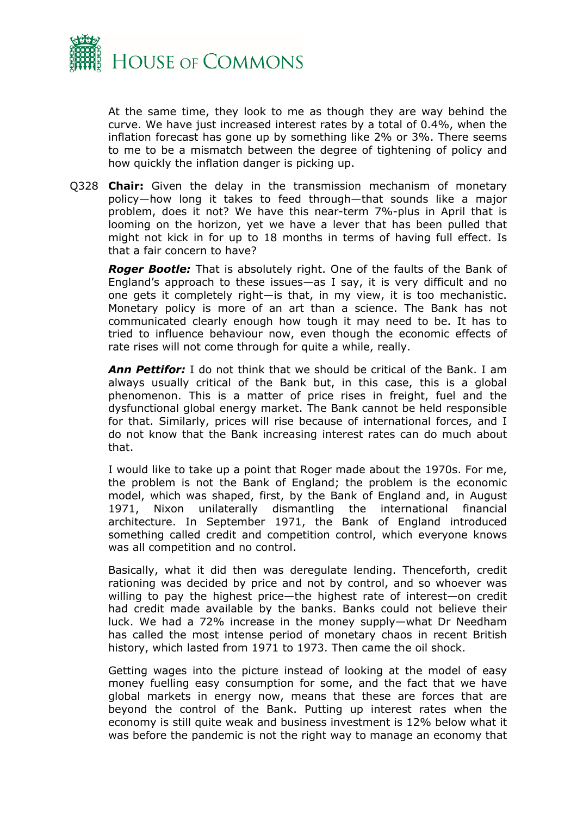

At the same time, they look to me as though they are way behind the curve. We have just increased interest rates by a total of 0.4%, when the inflation forecast has gone up by something like 2% or 3%. There seems to me to be a mismatch between the degree of tightening of policy and how quickly the inflation danger is picking up.

Q328 **Chair:** Given the delay in the transmission mechanism of monetary policy—how long it takes to feed through—that sounds like a major problem, does it not? We have this near-term 7%-plus in April that is looming on the horizon, yet we have a lever that has been pulled that might not kick in for up to 18 months in terms of having full effect. Is that a fair concern to have?

*Roger Bootle:* That is absolutely right. One of the faults of the Bank of England's approach to these issues—as I say, it is very difficult and no one gets it completely right—is that, in my view, it is too mechanistic. Monetary policy is more of an art than a science. The Bank has not communicated clearly enough how tough it may need to be. It has to tried to influence behaviour now, even though the economic effects of rate rises will not come through for quite a while, really.

*Ann Pettifor:* I do not think that we should be critical of the Bank. I am always usually critical of the Bank but, in this case, this is a global phenomenon. This is a matter of price rises in freight, fuel and the dysfunctional global energy market. The Bank cannot be held responsible for that. Similarly, prices will rise because of international forces, and I do not know that the Bank increasing interest rates can do much about that.

I would like to take up a point that Roger made about the 1970s. For me, the problem is not the Bank of England; the problem is the economic model, which was shaped, first, by the Bank of England and, in August 1971, Nixon unilaterally dismantling the international financial architecture. In September 1971, the Bank of England introduced something called credit and competition control, which everyone knows was all competition and no control.

Basically, what it did then was deregulate lending. Thenceforth, credit rationing was decided by price and not by control, and so whoever was willing to pay the highest price—the highest rate of interest—on credit had credit made available by the banks. Banks could not believe their luck. We had a 72% increase in the money supply—what Dr Needham has called the most intense period of monetary chaos in recent British history, which lasted from 1971 to 1973. Then came the oil shock.

Getting wages into the picture instead of looking at the model of easy money fuelling easy consumption for some, and the fact that we have global markets in energy now, means that these are forces that are beyond the control of the Bank. Putting up interest rates when the economy is still quite weak and business investment is 12% below what it was before the pandemic is not the right way to manage an economy that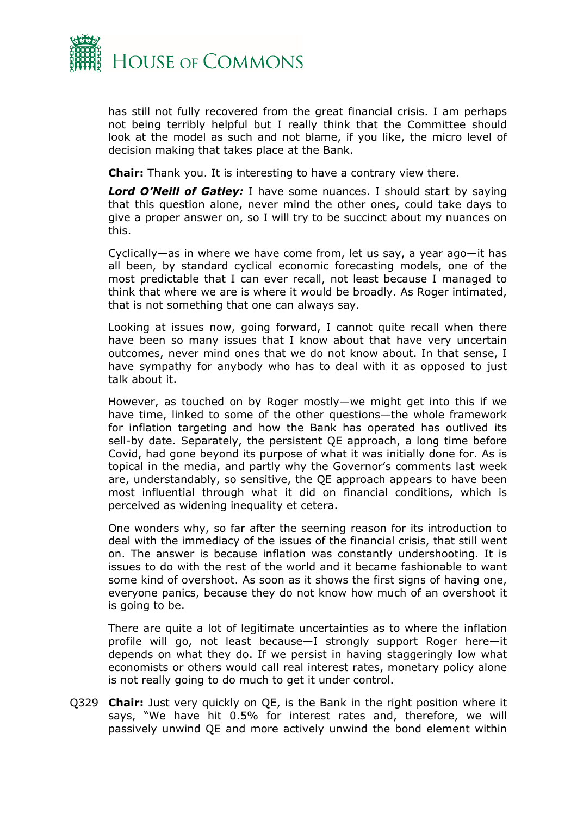

has still not fully recovered from the great financial crisis. I am perhaps not being terribly helpful but I really think that the Committee should look at the model as such and not blame, if you like, the micro level of decision making that takes place at the Bank.

**Chair:** Thank you. It is interesting to have a contrary view there.

*Lord O'Neill of Gatley:* I have some nuances. I should start by saying that this question alone, never mind the other ones, could take days to give a proper answer on, so I will try to be succinct about my nuances on this.

Cyclically—as in where we have come from, let us say, a year ago—it has all been, by standard cyclical economic forecasting models, one of the most predictable that I can ever recall, not least because I managed to think that where we are is where it would be broadly. As Roger intimated, that is not something that one can always say.

Looking at issues now, going forward, I cannot quite recall when there have been so many issues that I know about that have very uncertain outcomes, never mind ones that we do not know about. In that sense, I have sympathy for anybody who has to deal with it as opposed to just talk about it.

However, as touched on by Roger mostly—we might get into this if we have time, linked to some of the other questions—the whole framework for inflation targeting and how the Bank has operated has outlived its sell-by date. Separately, the persistent QE approach, a long time before Covid, had gone beyond its purpose of what it was initially done for. As is topical in the media, and partly why the Governor's comments last week are, understandably, so sensitive, the QE approach appears to have been most influential through what it did on financial conditions, which is perceived as widening inequality et cetera.

One wonders why, so far after the seeming reason for its introduction to deal with the immediacy of the issues of the financial crisis, that still went on. The answer is because inflation was constantly undershooting. It is issues to do with the rest of the world and it became fashionable to want some kind of overshoot. As soon as it shows the first signs of having one, everyone panics, because they do not know how much of an overshoot it is going to be.

There are quite a lot of legitimate uncertainties as to where the inflation profile will go, not least because—I strongly support Roger here—it depends on what they do. If we persist in having staggeringly low what economists or others would call real interest rates, monetary policy alone is not really going to do much to get it under control.

Q329 **Chair:** Just very quickly on QE, is the Bank in the right position where it says, "We have hit 0.5% for interest rates and, therefore, we will passively unwind QE and more actively unwind the bond element within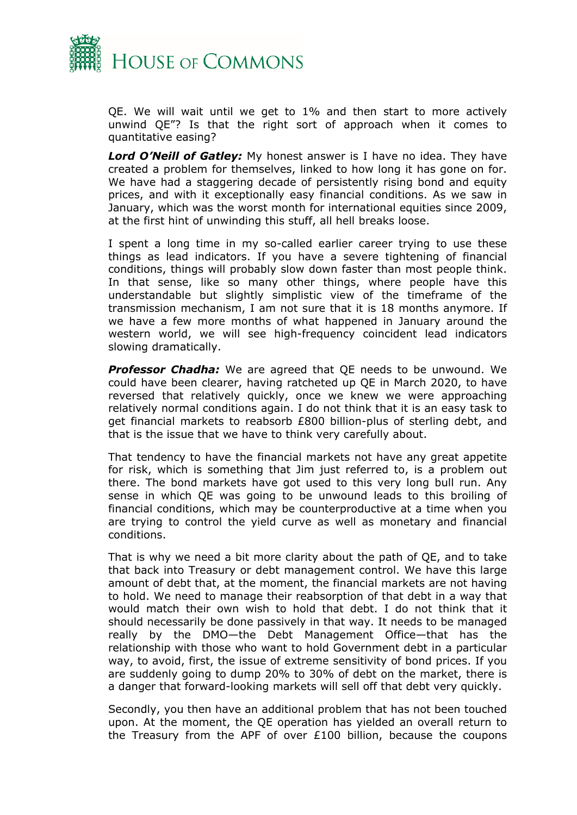

QE. We will wait until we get to 1% and then start to more actively unwind QE"? Is that the right sort of approach when it comes to quantitative easing?

*Lord O'Neill of Gatley:* My honest answer is I have no idea. They have created a problem for themselves, linked to how long it has gone on for. We have had a staggering decade of persistently rising bond and equity prices, and with it exceptionally easy financial conditions. As we saw in January, which was the worst month for international equities since 2009, at the first hint of unwinding this stuff, all hell breaks loose.

I spent a long time in my so-called earlier career trying to use these things as lead indicators. If you have a severe tightening of financial conditions, things will probably slow down faster than most people think. In that sense, like so many other things, where people have this understandable but slightly simplistic view of the timeframe of the transmission mechanism, I am not sure that it is 18 months anymore. If we have a few more months of what happened in January around the western world, we will see high-frequency coincident lead indicators slowing dramatically.

*Professor Chadha:* We are agreed that QE needs to be unwound. We could have been clearer, having ratcheted up QE in March 2020, to have reversed that relatively quickly, once we knew we were approaching relatively normal conditions again. I do not think that it is an easy task to get financial markets to reabsorb £800 billion-plus of sterling debt, and that is the issue that we have to think very carefully about.

That tendency to have the financial markets not have any great appetite for risk, which is something that Jim just referred to, is a problem out there. The bond markets have got used to this very long bull run. Any sense in which QE was going to be unwound leads to this broiling of financial conditions, which may be counterproductive at a time when you are trying to control the yield curve as well as monetary and financial conditions.

That is why we need a bit more clarity about the path of QE, and to take that back into Treasury or debt management control. We have this large amount of debt that, at the moment, the financial markets are not having to hold. We need to manage their reabsorption of that debt in a way that would match their own wish to hold that debt. I do not think that it should necessarily be done passively in that way. It needs to be managed really by the DMO—the Debt Management Office—that has the relationship with those who want to hold Government debt in a particular way, to avoid, first, the issue of extreme sensitivity of bond prices. If you are suddenly going to dump 20% to 30% of debt on the market, there is a danger that forward-looking markets will sell off that debt very quickly.

Secondly, you then have an additional problem that has not been touched upon. At the moment, the QE operation has yielded an overall return to the Treasury from the APF of over £100 billion, because the coupons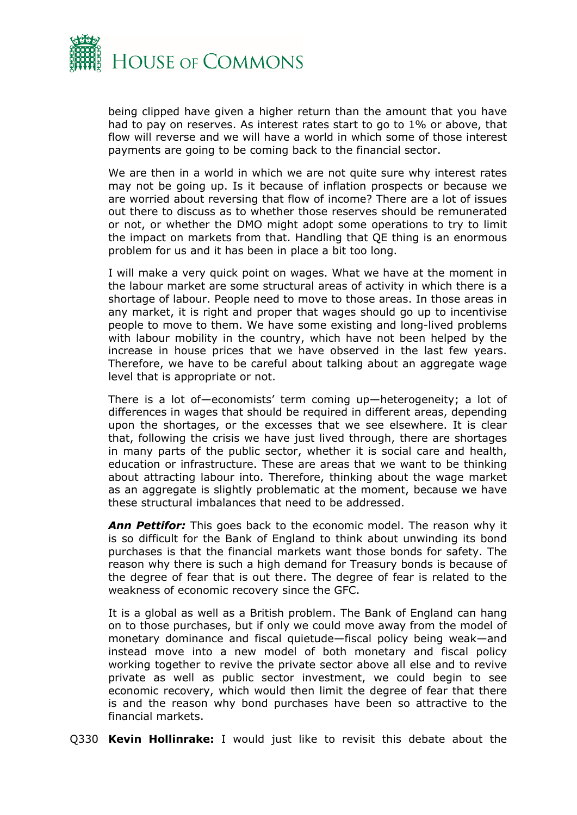

being clipped have given a higher return than the amount that you have had to pay on reserves. As interest rates start to go to 1% or above, that flow will reverse and we will have a world in which some of those interest payments are going to be coming back to the financial sector.

We are then in a world in which we are not quite sure why interest rates may not be going up. Is it because of inflation prospects or because we are worried about reversing that flow of income? There are a lot of issues out there to discuss as to whether those reserves should be remunerated or not, or whether the DMO might adopt some operations to try to limit the impact on markets from that. Handling that QE thing is an enormous problem for us and it has been in place a bit too long.

I will make a very quick point on wages. What we have at the moment in the labour market are some structural areas of activity in which there is a shortage of labour. People need to move to those areas. In those areas in any market, it is right and proper that wages should go up to incentivise people to move to them. We have some existing and long-lived problems with labour mobility in the country, which have not been helped by the increase in house prices that we have observed in the last few years. Therefore, we have to be careful about talking about an aggregate wage level that is appropriate or not.

There is a lot of—economists' term coming up—heterogeneity; a lot of differences in wages that should be required in different areas, depending upon the shortages, or the excesses that we see elsewhere. It is clear that, following the crisis we have just lived through, there are shortages in many parts of the public sector, whether it is social care and health, education or infrastructure. These are areas that we want to be thinking about attracting labour into. Therefore, thinking about the wage market as an aggregate is slightly problematic at the moment, because we have these structural imbalances that need to be addressed.

*Ann Pettifor:* This goes back to the economic model. The reason why it is so difficult for the Bank of England to think about unwinding its bond purchases is that the financial markets want those bonds for safety. The reason why there is such a high demand for Treasury bonds is because of the degree of fear that is out there. The degree of fear is related to the weakness of economic recovery since the GFC.

It is a global as well as a British problem. The Bank of England can hang on to those purchases, but if only we could move away from the model of monetary dominance and fiscal quietude—fiscal policy being weak—and instead move into a new model of both monetary and fiscal policy working together to revive the private sector above all else and to revive private as well as public sector investment, we could begin to see economic recovery, which would then limit the degree of fear that there is and the reason why bond purchases have been so attractive to the financial markets.

Q330 **Kevin Hollinrake:** I would just like to revisit this debate about the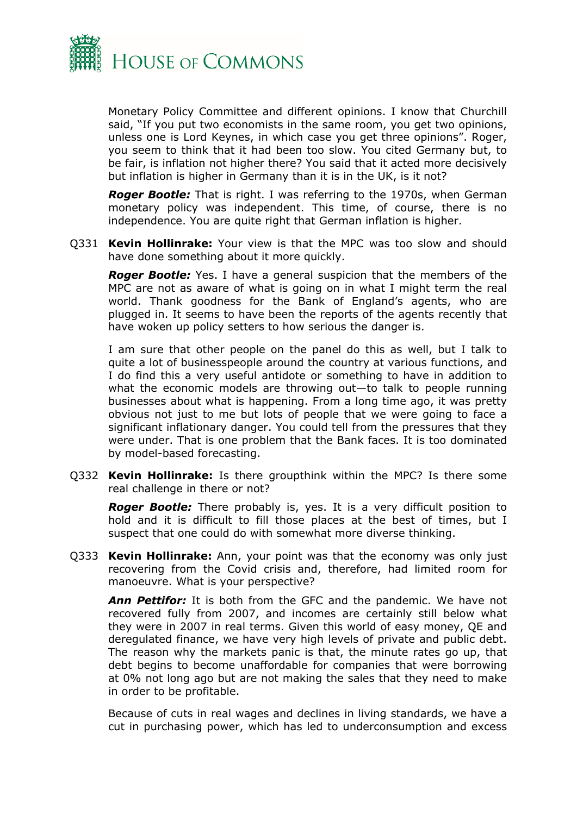

Monetary Policy Committee and different opinions. I know that Churchill said, "If you put two economists in the same room, you get two opinions, unless one is Lord Keynes, in which case you get three opinions". Roger, you seem to think that it had been too slow. You cited Germany but, to be fair, is inflation not higher there? You said that it acted more decisively but inflation is higher in Germany than it is in the UK, is it not?

*Roger Bootle:* That is right. I was referring to the 1970s, when German monetary policy was independent. This time, of course, there is no independence. You are quite right that German inflation is higher.

Q331 **Kevin Hollinrake:** Your view is that the MPC was too slow and should have done something about it more quickly.

*Roger Bootle:* Yes. I have a general suspicion that the members of the MPC are not as aware of what is going on in what I might term the real world. Thank goodness for the Bank of England's agents, who are plugged in. It seems to have been the reports of the agents recently that have woken up policy setters to how serious the danger is.

I am sure that other people on the panel do this as well, but I talk to quite a lot of businesspeople around the country at various functions, and I do find this a very useful antidote or something to have in addition to what the economic models are throwing out—to talk to people running businesses about what is happening. From a long time ago, it was pretty obvious not just to me but lots of people that we were going to face a significant inflationary danger. You could tell from the pressures that they were under. That is one problem that the Bank faces. It is too dominated by model-based forecasting.

Q332 **Kevin Hollinrake:** Is there groupthink within the MPC? Is there some real challenge in there or not?

*Roger Bootle:* There probably is, yes. It is a very difficult position to hold and it is difficult to fill those places at the best of times, but I suspect that one could do with somewhat more diverse thinking.

Q333 **Kevin Hollinrake:** Ann, your point was that the economy was only just recovering from the Covid crisis and, therefore, had limited room for manoeuvre. What is your perspective?

*Ann Pettifor:* It is both from the GFC and the pandemic. We have not recovered fully from 2007, and incomes are certainly still below what they were in 2007 in real terms. Given this world of easy money, QE and deregulated finance, we have very high levels of private and public debt. The reason why the markets panic is that, the minute rates go up, that debt begins to become unaffordable for companies that were borrowing at 0% not long ago but are not making the sales that they need to make in order to be profitable.

Because of cuts in real wages and declines in living standards, we have a cut in purchasing power, which has led to underconsumption and excess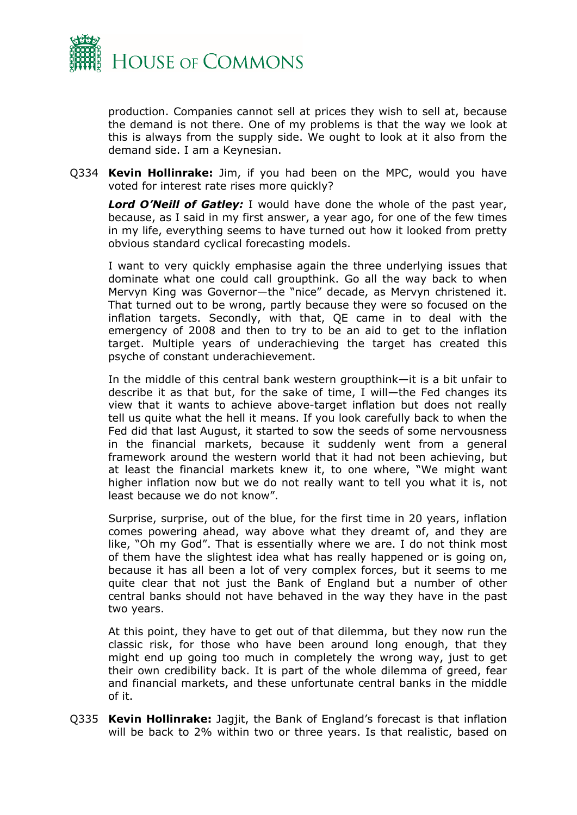

production. Companies cannot sell at prices they wish to sell at, because the demand is not there. One of my problems is that the way we look at this is always from the supply side. We ought to look at it also from the demand side. I am a Keynesian.

Q334 **Kevin Hollinrake:** Jim, if you had been on the MPC, would you have voted for interest rate rises more quickly?

*Lord O'Neill of Gatley:* I would have done the whole of the past year, because, as I said in my first answer, a year ago, for one of the few times in my life, everything seems to have turned out how it looked from pretty obvious standard cyclical forecasting models.

I want to very quickly emphasise again the three underlying issues that dominate what one could call groupthink. Go all the way back to when Mervyn King was Governor—the "nice" decade, as Mervyn christened it. That turned out to be wrong, partly because they were so focused on the inflation targets. Secondly, with that, QE came in to deal with the emergency of 2008 and then to try to be an aid to get to the inflation target. Multiple years of underachieving the target has created this psyche of constant underachievement.

In the middle of this central bank western groupthink—it is a bit unfair to describe it as that but, for the sake of time, I will—the Fed changes its view that it wants to achieve above-target inflation but does not really tell us quite what the hell it means. If you look carefully back to when the Fed did that last August, it started to sow the seeds of some nervousness in the financial markets, because it suddenly went from a general framework around the western world that it had not been achieving, but at least the financial markets knew it, to one where, "We might want higher inflation now but we do not really want to tell you what it is, not least because we do not know".

Surprise, surprise, out of the blue, for the first time in 20 years, inflation comes powering ahead, way above what they dreamt of, and they are like, "Oh my God". That is essentially where we are. I do not think most of them have the slightest idea what has really happened or is going on, because it has all been a lot of very complex forces, but it seems to me quite clear that not just the Bank of England but a number of other central banks should not have behaved in the way they have in the past two years.

At this point, they have to get out of that dilemma, but they now run the classic risk, for those who have been around long enough, that they might end up going too much in completely the wrong way, just to get their own credibility back. It is part of the whole dilemma of greed, fear and financial markets, and these unfortunate central banks in the middle of it.

Q335 **Kevin Hollinrake:** Jagjit, the Bank of England's forecast is that inflation will be back to 2% within two or three years. Is that realistic, based on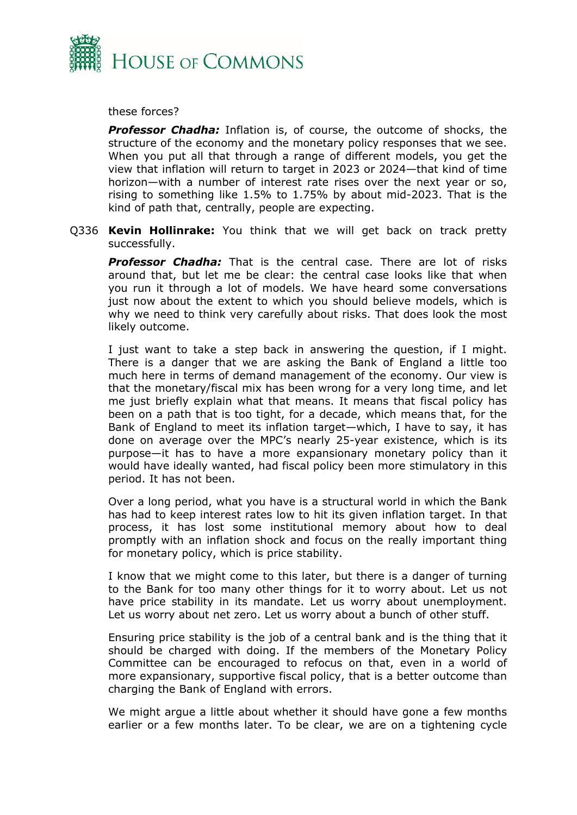

these forces?

*Professor Chadha:* Inflation is, of course, the outcome of shocks, the structure of the economy and the monetary policy responses that we see. When you put all that through a range of different models, you get the view that inflation will return to target in 2023 or 2024—that kind of time horizon—with a number of interest rate rises over the next year or so, rising to something like 1.5% to 1.75% by about mid-2023. That is the kind of path that, centrally, people are expecting.

Q336 **Kevin Hollinrake:** You think that we will get back on track pretty successfully.

*Professor Chadha:* That is the central case. There are lot of risks around that, but let me be clear: the central case looks like that when you run it through a lot of models. We have heard some conversations just now about the extent to which you should believe models, which is why we need to think very carefully about risks. That does look the most likely outcome.

I just want to take a step back in answering the question, if I might. There is a danger that we are asking the Bank of England a little too much here in terms of demand management of the economy. Our view is that the monetary/fiscal mix has been wrong for a very long time, and let me just briefly explain what that means. It means that fiscal policy has been on a path that is too tight, for a decade, which means that, for the Bank of England to meet its inflation target—which, I have to say, it has done on average over the MPC's nearly 25-year existence, which is its purpose—it has to have a more expansionary monetary policy than it would have ideally wanted, had fiscal policy been more stimulatory in this period. It has not been.

Over a long period, what you have is a structural world in which the Bank has had to keep interest rates low to hit its given inflation target. In that process, it has lost some institutional memory about how to deal promptly with an inflation shock and focus on the really important thing for monetary policy, which is price stability.

I know that we might come to this later, but there is a danger of turning to the Bank for too many other things for it to worry about. Let us not have price stability in its mandate. Let us worry about unemployment. Let us worry about net zero. Let us worry about a bunch of other stuff.

Ensuring price stability is the job of a central bank and is the thing that it should be charged with doing. If the members of the Monetary Policy Committee can be encouraged to refocus on that, even in a world of more expansionary, supportive fiscal policy, that is a better outcome than charging the Bank of England with errors.

We might argue a little about whether it should have gone a few months earlier or a few months later. To be clear, we are on a tightening cycle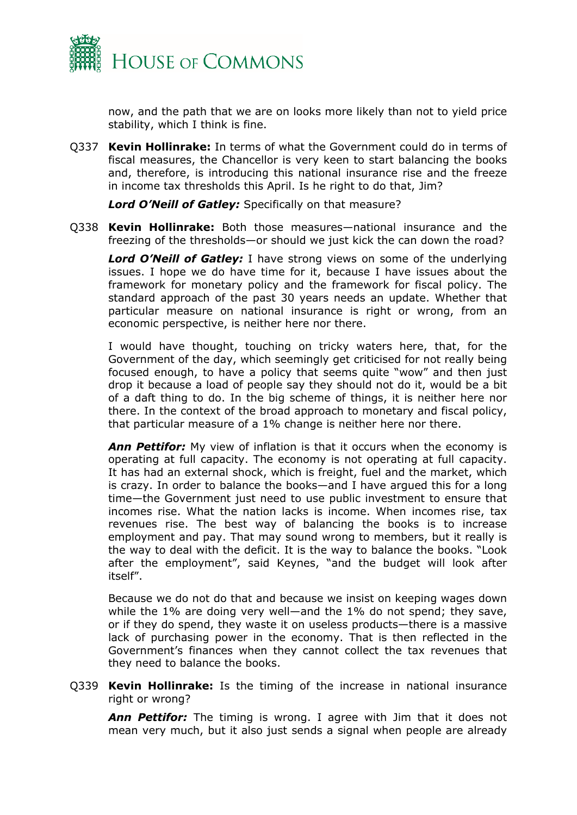

now, and the path that we are on looks more likely than not to yield price stability, which I think is fine.

Q337 **Kevin Hollinrake:** In terms of what the Government could do in terms of fiscal measures, the Chancellor is very keen to start balancing the books and, therefore, is introducing this national insurance rise and the freeze in income tax thresholds this April. Is he right to do that, Jim?

*Lord O'Neill of Gatley:* Specifically on that measure?

Q338 **Kevin Hollinrake:** Both those measures—national insurance and the freezing of the thresholds—or should we just kick the can down the road?

*Lord O'Neill of Gatley:* I have strong views on some of the underlying issues. I hope we do have time for it, because I have issues about the framework for monetary policy and the framework for fiscal policy. The standard approach of the past 30 years needs an update. Whether that particular measure on national insurance is right or wrong, from an economic perspective, is neither here nor there.

I would have thought, touching on tricky waters here, that, for the Government of the day, which seemingly get criticised for not really being focused enough, to have a policy that seems quite "wow" and then just drop it because a load of people say they should not do it, would be a bit of a daft thing to do. In the big scheme of things, it is neither here nor there. In the context of the broad approach to monetary and fiscal policy, that particular measure of a 1% change is neither here nor there.

*Ann Pettifor:* My view of inflation is that it occurs when the economy is operating at full capacity. The economy is not operating at full capacity. It has had an external shock, which is freight, fuel and the market, which is crazy. In order to balance the books—and I have argued this for a long time—the Government just need to use public investment to ensure that incomes rise. What the nation lacks is income. When incomes rise, tax revenues rise. The best way of balancing the books is to increase employment and pay. That may sound wrong to members, but it really is the way to deal with the deficit. It is the way to balance the books. "Look after the employment", said Keynes, "and the budget will look after itself".

Because we do not do that and because we insist on keeping wages down while the 1% are doing very well—and the 1% do not spend; they save, or if they do spend, they waste it on useless products—there is a massive lack of purchasing power in the economy. That is then reflected in the Government's finances when they cannot collect the tax revenues that they need to balance the books.

Q339 **Kevin Hollinrake:** Is the timing of the increase in national insurance right or wrong?

*Ann Pettifor:* The timing is wrong. I agree with Jim that it does not mean very much, but it also just sends a signal when people are already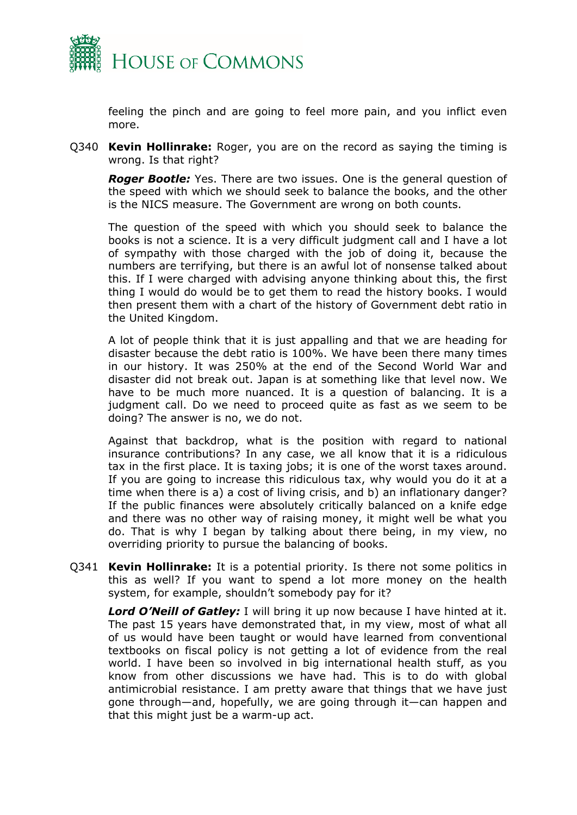

feeling the pinch and are going to feel more pain, and you inflict even more.

Q340 **Kevin Hollinrake:** Roger, you are on the record as saying the timing is wrong. Is that right?

*Roger Bootle:* Yes. There are two issues. One is the general question of the speed with which we should seek to balance the books, and the other is the NICS measure. The Government are wrong on both counts.

The question of the speed with which you should seek to balance the books is not a science. It is a very difficult judgment call and I have a lot of sympathy with those charged with the job of doing it, because the numbers are terrifying, but there is an awful lot of nonsense talked about this. If I were charged with advising anyone thinking about this, the first thing I would do would be to get them to read the history books. I would then present them with a chart of the history of Government debt ratio in the United Kingdom.

A lot of people think that it is just appalling and that we are heading for disaster because the debt ratio is 100%. We have been there many times in our history. It was 250% at the end of the Second World War and disaster did not break out. Japan is at something like that level now. We have to be much more nuanced. It is a question of balancing. It is a judgment call. Do we need to proceed quite as fast as we seem to be doing? The answer is no, we do not.

Against that backdrop, what is the position with regard to national insurance contributions? In any case, we all know that it is a ridiculous tax in the first place. It is taxing jobs; it is one of the worst taxes around. If you are going to increase this ridiculous tax, why would you do it at a time when there is a) a cost of living crisis, and b) an inflationary danger? If the public finances were absolutely critically balanced on a knife edge and there was no other way of raising money, it might well be what you do. That is why I began by talking about there being, in my view, no overriding priority to pursue the balancing of books.

Q341 **Kevin Hollinrake:** It is a potential priority. Is there not some politics in this as well? If you want to spend a lot more money on the health system, for example, shouldn't somebody pay for it?

*Lord O'Neill of Gatley:* I will bring it up now because I have hinted at it. The past 15 years have demonstrated that, in my view, most of what all of us would have been taught or would have learned from conventional textbooks on fiscal policy is not getting a lot of evidence from the real world. I have been so involved in big international health stuff, as you know from other discussions we have had. This is to do with global antimicrobial resistance. I am pretty aware that things that we have just gone through—and, hopefully, we are going through it—can happen and that this might just be a warm-up act.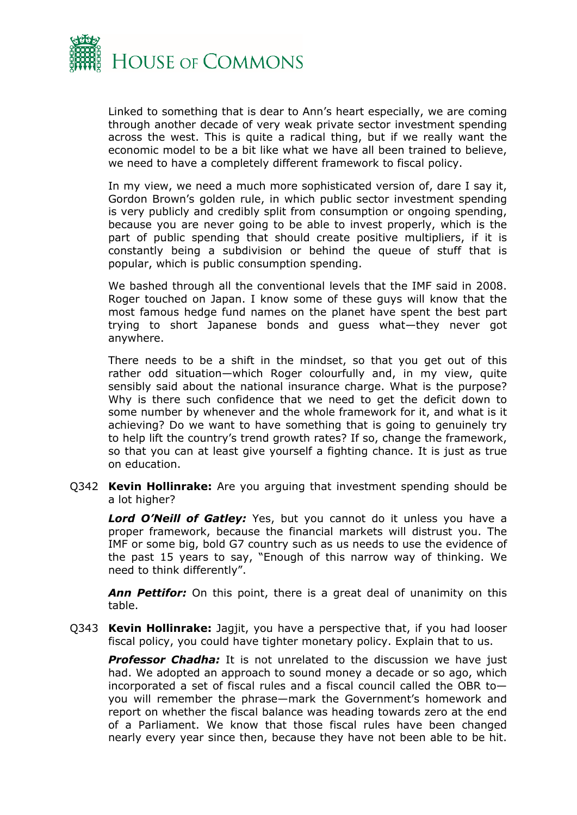

Linked to something that is dear to Ann's heart especially, we are coming through another decade of very weak private sector investment spending across the west. This is quite a radical thing, but if we really want the economic model to be a bit like what we have all been trained to believe, we need to have a completely different framework to fiscal policy.

In my view, we need a much more sophisticated version of, dare I say it, Gordon Brown's golden rule, in which public sector investment spending is very publicly and credibly split from consumption or ongoing spending, because you are never going to be able to invest properly, which is the part of public spending that should create positive multipliers, if it is constantly being a subdivision or behind the queue of stuff that is popular, which is public consumption spending.

We bashed through all the conventional levels that the IMF said in 2008. Roger touched on Japan. I know some of these guys will know that the most famous hedge fund names on the planet have spent the best part trying to short Japanese bonds and guess what—they never got anywhere.

There needs to be a shift in the mindset, so that you get out of this rather odd situation—which Roger colourfully and, in my view, quite sensibly said about the national insurance charge. What is the purpose? Why is there such confidence that we need to get the deficit down to some number by whenever and the whole framework for it, and what is it achieving? Do we want to have something that is going to genuinely try to help lift the country's trend growth rates? If so, change the framework, so that you can at least give yourself a fighting chance. It is just as true on education.

Q342 **Kevin Hollinrake:** Are you arguing that investment spending should be a lot higher?

*Lord O'Neill of Gatley:* Yes, but you cannot do it unless you have a proper framework, because the financial markets will distrust you. The IMF or some big, bold G7 country such as us needs to use the evidence of the past 15 years to say, "Enough of this narrow way of thinking. We need to think differently".

*Ann Pettifor:* On this point, there is a great deal of unanimity on this table.

Q343 **Kevin Hollinrake:** Jagjit, you have a perspective that, if you had looser fiscal policy, you could have tighter monetary policy. Explain that to us.

*Professor Chadha:* It is not unrelated to the discussion we have just had. We adopted an approach to sound money a decade or so ago, which incorporated a set of fiscal rules and a fiscal council called the OBR to you will remember the phrase—mark the Government's homework and report on whether the fiscal balance was heading towards zero at the end of a Parliament. We know that those fiscal rules have been changed nearly every year since then, because they have not been able to be hit.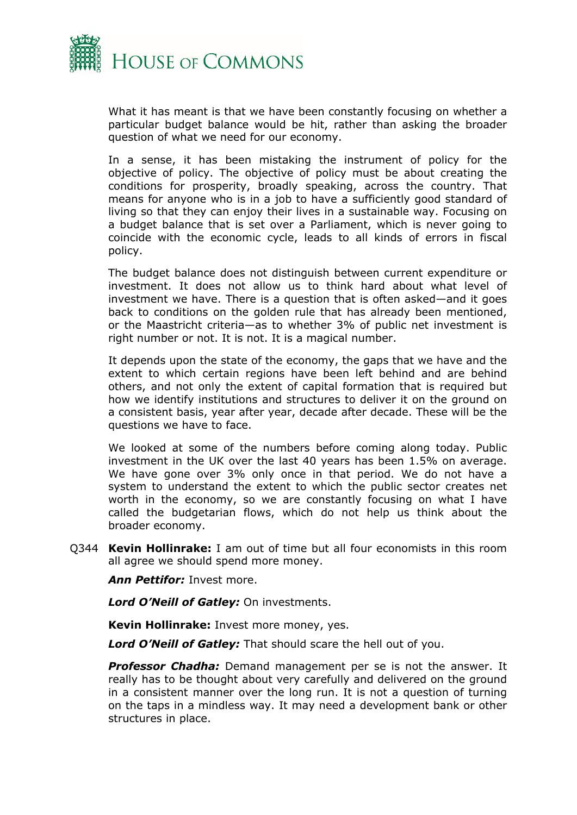

What it has meant is that we have been constantly focusing on whether a particular budget balance would be hit, rather than asking the broader question of what we need for our economy.

In a sense, it has been mistaking the instrument of policy for the objective of policy. The objective of policy must be about creating the conditions for prosperity, broadly speaking, across the country. That means for anyone who is in a job to have a sufficiently good standard of living so that they can enjoy their lives in a sustainable way. Focusing on a budget balance that is set over a Parliament, which is never going to coincide with the economic cycle, leads to all kinds of errors in fiscal policy.

The budget balance does not distinguish between current expenditure or investment. It does not allow us to think hard about what level of investment we have. There is a question that is often asked—and it goes back to conditions on the golden rule that has already been mentioned, or the Maastricht criteria—as to whether 3% of public net investment is right number or not. It is not. It is a magical number.

It depends upon the state of the economy, the gaps that we have and the extent to which certain regions have been left behind and are behind others, and not only the extent of capital formation that is required but how we identify institutions and structures to deliver it on the ground on a consistent basis, year after year, decade after decade. These will be the questions we have to face.

We looked at some of the numbers before coming along today. Public investment in the UK over the last 40 years has been 1.5% on average. We have gone over 3% only once in that period. We do not have a system to understand the extent to which the public sector creates net worth in the economy, so we are constantly focusing on what I have called the budgetarian flows, which do not help us think about the broader economy.

Q344 **Kevin Hollinrake:** I am out of time but all four economists in this room all agree we should spend more money.

*Ann Pettifor:* Invest more.

*Lord O'Neill of Gatley:* On investments.

**Kevin Hollinrake:** Invest more money, yes.

*Lord O'Neill of Gatley:* That should scare the hell out of you.

*Professor Chadha:* Demand management per se is not the answer. It really has to be thought about very carefully and delivered on the ground in a consistent manner over the long run. It is not a question of turning on the taps in a mindless way. It may need a development bank or other structures in place.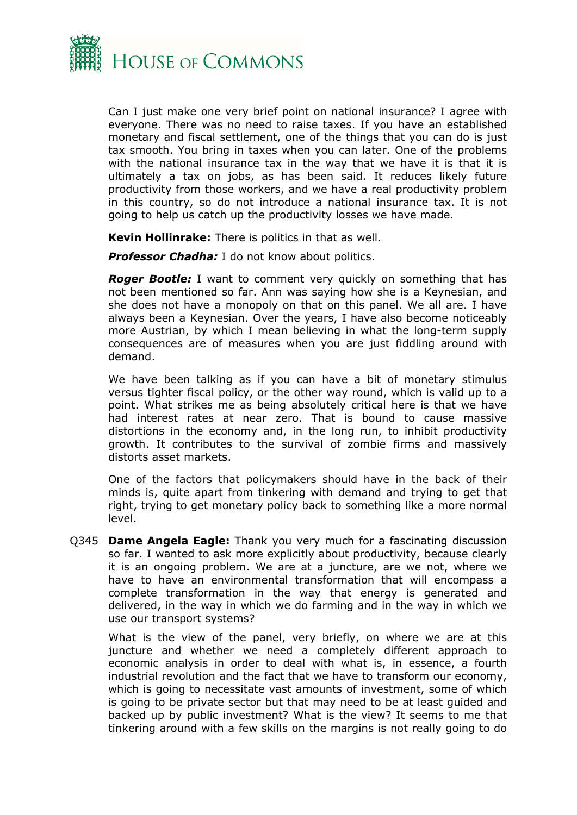

Can I just make one very brief point on national insurance? I agree with everyone. There was no need to raise taxes. If you have an established monetary and fiscal settlement, one of the things that you can do is just tax smooth. You bring in taxes when you can later. One of the problems with the national insurance tax in the way that we have it is that it is ultimately a tax on jobs, as has been said. It reduces likely future productivity from those workers, and we have a real productivity problem in this country, so do not introduce a national insurance tax. It is not going to help us catch up the productivity losses we have made.

**Kevin Hollinrake:** There is politics in that as well.

**Professor Chadha:** I do not know about politics.

*Roger Bootle:* I want to comment very quickly on something that has not been mentioned so far. Ann was saying how she is a Keynesian, and she does not have a monopoly on that on this panel. We all are. I have always been a Keynesian. Over the years, I have also become noticeably more Austrian, by which I mean believing in what the long-term supply consequences are of measures when you are just fiddling around with demand.

We have been talking as if you can have a bit of monetary stimulus versus tighter fiscal policy, or the other way round, which is valid up to a point. What strikes me as being absolutely critical here is that we have had interest rates at near zero. That is bound to cause massive distortions in the economy and, in the long run, to inhibit productivity growth. It contributes to the survival of zombie firms and massively distorts asset markets.

One of the factors that policymakers should have in the back of their minds is, quite apart from tinkering with demand and trying to get that right, trying to get monetary policy back to something like a more normal level.

Q345 **Dame Angela Eagle:** Thank you very much for a fascinating discussion so far. I wanted to ask more explicitly about productivity, because clearly it is an ongoing problem. We are at a juncture, are we not, where we have to have an environmental transformation that will encompass a complete transformation in the way that energy is generated and delivered, in the way in which we do farming and in the way in which we use our transport systems?

What is the view of the panel, very briefly, on where we are at this juncture and whether we need a completely different approach to economic analysis in order to deal with what is, in essence, a fourth industrial revolution and the fact that we have to transform our economy, which is going to necessitate vast amounts of investment, some of which is going to be private sector but that may need to be at least guided and backed up by public investment? What is the view? It seems to me that tinkering around with a few skills on the margins is not really going to do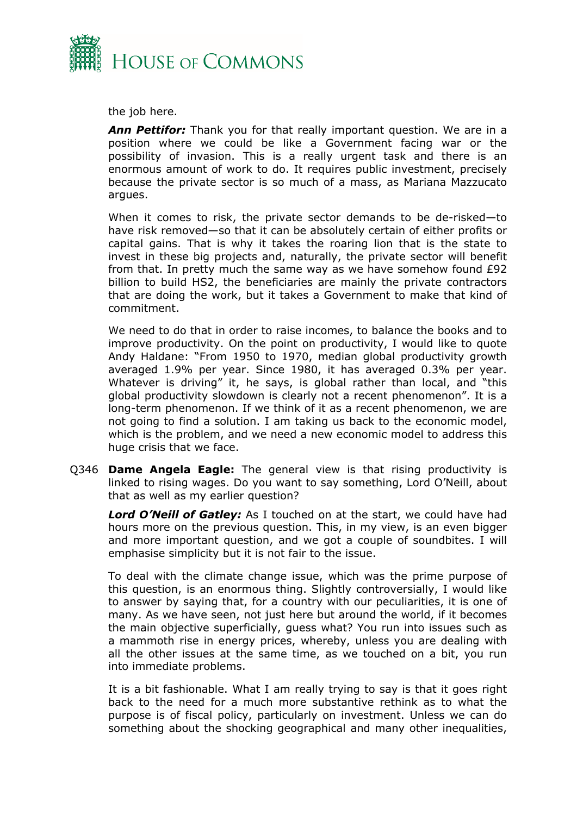

the job here.

*Ann Pettifor:* Thank you for that really important question. We are in a position where we could be like a Government facing war or the possibility of invasion. This is a really urgent task and there is an enormous amount of work to do. It requires public investment, precisely because the private sector is so much of a mass, as Mariana Mazzucato argues.

When it comes to risk, the private sector demands to be de-risked—to have risk removed—so that it can be absolutely certain of either profits or capital gains. That is why it takes the roaring lion that is the state to invest in these big projects and, naturally, the private sector will benefit from that. In pretty much the same way as we have somehow found £92 billion to build HS2, the beneficiaries are mainly the private contractors that are doing the work, but it takes a Government to make that kind of commitment.

We need to do that in order to raise incomes, to balance the books and to improve productivity. On the point on productivity, I would like to quote Andy Haldane: "From 1950 to 1970, median global productivity growth averaged 1.9% per year. Since 1980, it has averaged 0.3% per year. Whatever is driving" it, he says, is global rather than local, and "this global productivity slowdown is clearly not a recent phenomenon". It is a long-term phenomenon. If we think of it as a recent phenomenon, we are not going to find a solution. I am taking us back to the economic model, which is the problem, and we need a new economic model to address this huge crisis that we face.

Q346 **Dame Angela Eagle:** The general view is that rising productivity is linked to rising wages. Do you want to say something, Lord O'Neill, about that as well as my earlier question?

*Lord O'Neill of Gatley:* As I touched on at the start, we could have had hours more on the previous question. This, in my view, is an even bigger and more important question, and we got a couple of soundbites. I will emphasise simplicity but it is not fair to the issue.

To deal with the climate change issue, which was the prime purpose of this question, is an enormous thing. Slightly controversially, I would like to answer by saying that, for a country with our peculiarities, it is one of many. As we have seen, not just here but around the world, if it becomes the main objective superficially, guess what? You run into issues such as a mammoth rise in energy prices, whereby, unless you are dealing with all the other issues at the same time, as we touched on a bit, you run into immediate problems.

It is a bit fashionable. What I am really trying to say is that it goes right back to the need for a much more substantive rethink as to what the purpose is of fiscal policy, particularly on investment. Unless we can do something about the shocking geographical and many other inequalities,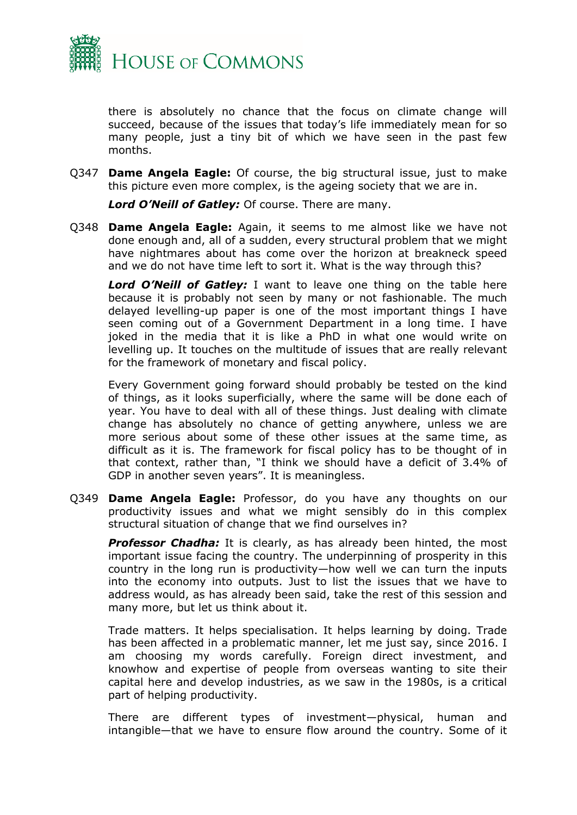

there is absolutely no chance that the focus on climate change will succeed, because of the issues that today's life immediately mean for so many people, just a tiny bit of which we have seen in the past few months.

Q347 **Dame Angela Eagle:** Of course, the big structural issue, just to make this picture even more complex, is the ageing society that we are in.

*Lord O'Neill of Gatley:* Of course. There are many.

Q348 **Dame Angela Eagle:** Again, it seems to me almost like we have not done enough and, all of a sudden, every structural problem that we might have nightmares about has come over the horizon at breakneck speed and we do not have time left to sort it. What is the way through this?

*Lord O'Neill of Gatley:* I want to leave one thing on the table here because it is probably not seen by many or not fashionable. The much delayed levelling-up paper is one of the most important things I have seen coming out of a Government Department in a long time. I have joked in the media that it is like a PhD in what one would write on levelling up. It touches on the multitude of issues that are really relevant for the framework of monetary and fiscal policy.

Every Government going forward should probably be tested on the kind of things, as it looks superficially, where the same will be done each of year. You have to deal with all of these things. Just dealing with climate change has absolutely no chance of getting anywhere, unless we are more serious about some of these other issues at the same time, as difficult as it is. The framework for fiscal policy has to be thought of in that context, rather than, "I think we should have a deficit of 3.4% of GDP in another seven years". It is meaningless.

Q349 **Dame Angela Eagle:** Professor, do you have any thoughts on our productivity issues and what we might sensibly do in this complex structural situation of change that we find ourselves in?

**Professor Chadha:** It is clearly, as has already been hinted, the most important issue facing the country. The underpinning of prosperity in this country in the long run is productivity—how well we can turn the inputs into the economy into outputs. Just to list the issues that we have to address would, as has already been said, take the rest of this session and many more, but let us think about it.

Trade matters. It helps specialisation. It helps learning by doing. Trade has been affected in a problematic manner, let me just say, since 2016. I am choosing my words carefully. Foreign direct investment, and knowhow and expertise of people from overseas wanting to site their capital here and develop industries, as we saw in the 1980s, is a critical part of helping productivity.

There are different types of investment—physical, human and intangible—that we have to ensure flow around the country. Some of it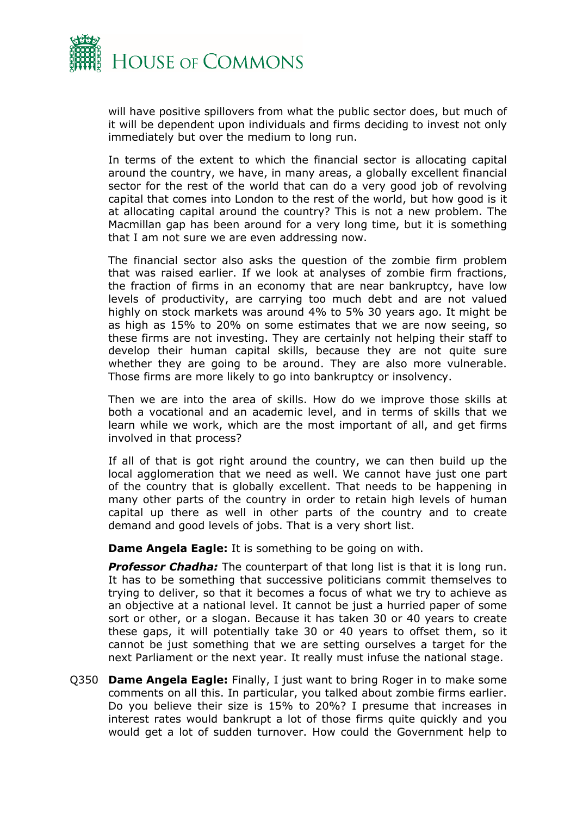

will have positive spillovers from what the public sector does, but much of it will be dependent upon individuals and firms deciding to invest not only immediately but over the medium to long run.

In terms of the extent to which the financial sector is allocating capital around the country, we have, in many areas, a globally excellent financial sector for the rest of the world that can do a very good job of revolving capital that comes into London to the rest of the world, but how good is it at allocating capital around the country? This is not a new problem. The Macmillan gap has been around for a very long time, but it is something that I am not sure we are even addressing now.

The financial sector also asks the question of the zombie firm problem that was raised earlier. If we look at analyses of zombie firm fractions, the fraction of firms in an economy that are near bankruptcy, have low levels of productivity, are carrying too much debt and are not valued highly on stock markets was around 4% to 5% 30 years ago. It might be as high as 15% to 20% on some estimates that we are now seeing, so these firms are not investing. They are certainly not helping their staff to develop their human capital skills, because they are not quite sure whether they are going to be around. They are also more vulnerable. Those firms are more likely to go into bankruptcy or insolvency.

Then we are into the area of skills. How do we improve those skills at both a vocational and an academic level, and in terms of skills that we learn while we work, which are the most important of all, and get firms involved in that process?

If all of that is got right around the country, we can then build up the local agglomeration that we need as well. We cannot have just one part of the country that is globally excellent. That needs to be happening in many other parts of the country in order to retain high levels of human capital up there as well in other parts of the country and to create demand and good levels of jobs. That is a very short list.

**Dame Angela Eagle:** It is something to be going on with.

*Professor Chadha:* The counterpart of that long list is that it is long run. It has to be something that successive politicians commit themselves to trying to deliver, so that it becomes a focus of what we try to achieve as an objective at a national level. It cannot be just a hurried paper of some sort or other, or a slogan. Because it has taken 30 or 40 years to create these gaps, it will potentially take 30 or 40 years to offset them, so it cannot be just something that we are setting ourselves a target for the next Parliament or the next year. It really must infuse the national stage.

Q350 **Dame Angela Eagle:** Finally, I just want to bring Roger in to make some comments on all this. In particular, you talked about zombie firms earlier. Do you believe their size is 15% to 20%? I presume that increases in interest rates would bankrupt a lot of those firms quite quickly and you would get a lot of sudden turnover. How could the Government help to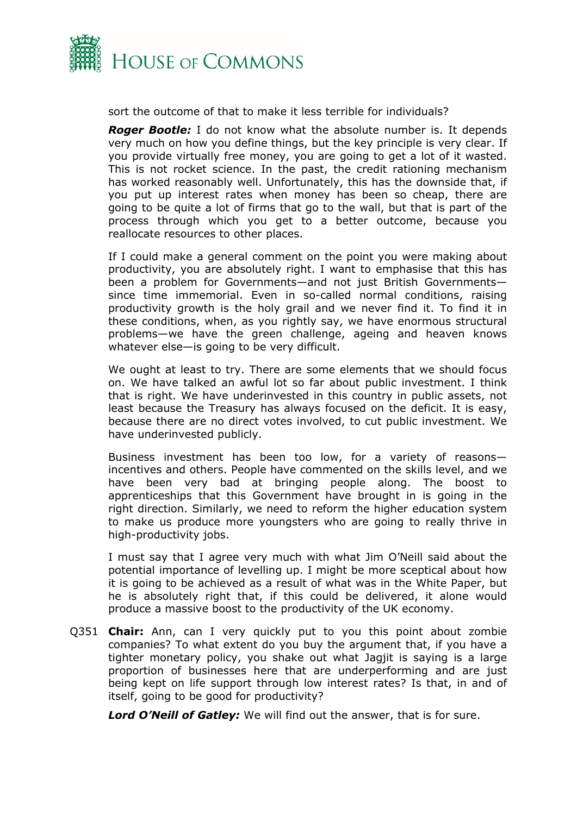

sort the outcome of that to make it less terrible for individuals?

*Roger Bootle:* I do not know what the absolute number is. It depends very much on how you define things, but the key principle is very clear. If you provide virtually free money, you are going to get a lot of it wasted. This is not rocket science. In the past, the credit rationing mechanism has worked reasonably well. Unfortunately, this has the downside that, if you put up interest rates when money has been so cheap, there are going to be quite a lot of firms that go to the wall, but that is part of the process through which you get to a better outcome, because you reallocate resources to other places.

If I could make a general comment on the point you were making about productivity, you are absolutely right. I want to emphasise that this has been a problem for Governments—and not just British Governments since time immemorial. Even in so-called normal conditions, raising productivity growth is the holy grail and we never find it. To find it in these conditions, when, as you rightly say, we have enormous structural problems—we have the green challenge, ageing and heaven knows whatever else—is going to be very difficult.

We ought at least to try. There are some elements that we should focus on. We have talked an awful lot so far about public investment. I think that is right. We have underinvested in this country in public assets, not least because the Treasury has always focused on the deficit. It is easy, because there are no direct votes involved, to cut public investment. We have underinvested publicly.

Business investment has been too low, for a variety of reasons incentives and others. People have commented on the skills level, and we have been very bad at bringing people along. The boost to apprenticeships that this Government have brought in is going in the right direction. Similarly, we need to reform the higher education system to make us produce more youngsters who are going to really thrive in high-productivity jobs.

I must say that I agree very much with what Jim O'Neill said about the potential importance of levelling up. I might be more sceptical about how it is going to be achieved as a result of what was in the White Paper, but he is absolutely right that, if this could be delivered, it alone would produce a massive boost to the productivity of the UK economy.

Q351 **Chair:** Ann, can I very quickly put to you this point about zombie companies? To what extent do you buy the argument that, if you have a tighter monetary policy, you shake out what Jagjit is saying is a large proportion of businesses here that are underperforming and are just being kept on life support through low interest rates? Is that, in and of itself, going to be good for productivity?

*Lord O'Neill of Gatley:* We will find out the answer, that is for sure.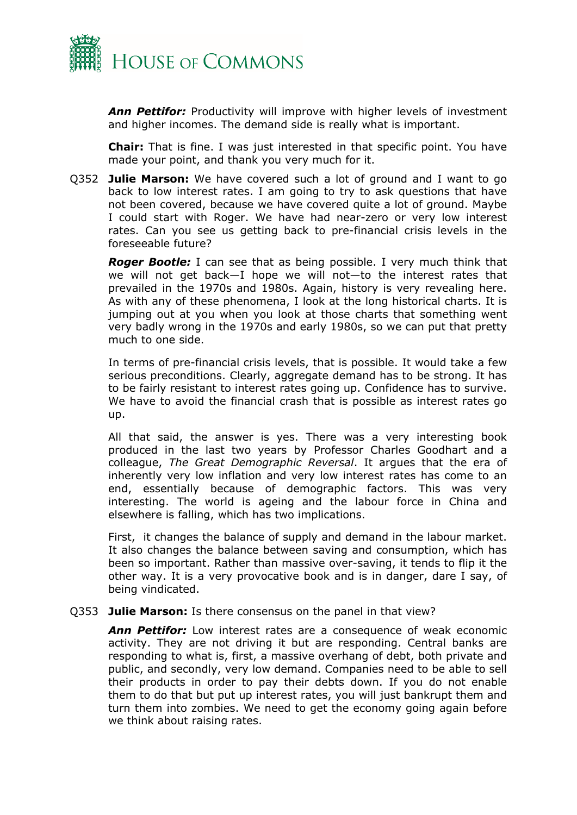

*Ann Pettifor:* Productivity will improve with higher levels of investment and higher incomes. The demand side is really what is important.

**Chair:** That is fine. I was just interested in that specific point. You have made your point, and thank you very much for it.

Q352 **Julie Marson:** We have covered such a lot of ground and I want to go back to low interest rates. I am going to try to ask questions that have not been covered, because we have covered quite a lot of ground. Maybe I could start with Roger. We have had near-zero or very low interest rates. Can you see us getting back to pre-financial crisis levels in the foreseeable future?

*Roger Bootle:* I can see that as being possible. I very much think that we will not get back—I hope we will not—to the interest rates that prevailed in the 1970s and 1980s. Again, history is very revealing here. As with any of these phenomena, I look at the long historical charts. It is jumping out at you when you look at those charts that something went very badly wrong in the 1970s and early 1980s, so we can put that pretty much to one side.

In terms of pre-financial crisis levels, that is possible. It would take a few serious preconditions. Clearly, aggregate demand has to be strong. It has to be fairly resistant to interest rates going up. Confidence has to survive. We have to avoid the financial crash that is possible as interest rates go up.

All that said, the answer is yes. There was a very interesting book produced in the last two years by Professor Charles Goodhart and a colleague, *The Great Demographic Reversal*. It argues that the era of inherently very low inflation and very low interest rates has come to an end, essentially because of demographic factors. This was very interesting. The world is ageing and the labour force in China and elsewhere is falling, which has two implications.

First, it changes the balance of supply and demand in the labour market. It also changes the balance between saving and consumption, which has been so important. Rather than massive over-saving, it tends to flip it the other way. It is a very provocative book and is in danger, dare I say, of being vindicated.

#### Q353 **Julie Marson:** Is there consensus on the panel in that view?

*Ann Pettifor:* Low interest rates are a consequence of weak economic activity. They are not driving it but are responding. Central banks are responding to what is, first, a massive overhang of debt, both private and public, and secondly, very low demand. Companies need to be able to sell their products in order to pay their debts down. If you do not enable them to do that but put up interest rates, you will just bankrupt them and turn them into zombies. We need to get the economy going again before we think about raising rates.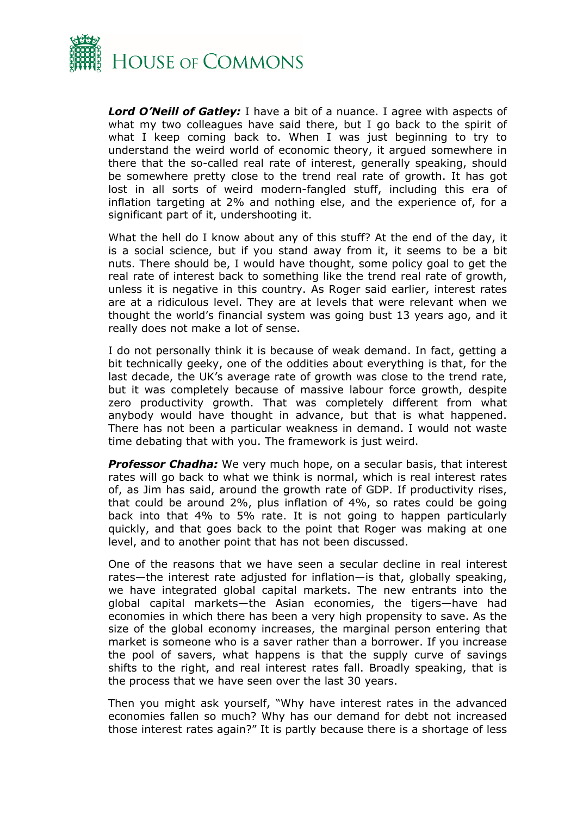

*Lord O'Neill of Gatley:* I have a bit of a nuance. I agree with aspects of what my two colleagues have said there, but I go back to the spirit of what I keep coming back to. When I was just beginning to try to understand the weird world of economic theory, it argued somewhere in there that the so-called real rate of interest, generally speaking, should be somewhere pretty close to the trend real rate of growth. It has got lost in all sorts of weird modern-fangled stuff, including this era of inflation targeting at 2% and nothing else, and the experience of, for a significant part of it, undershooting it.

What the hell do I know about any of this stuff? At the end of the day, it is a social science, but if you stand away from it, it seems to be a bit nuts. There should be, I would have thought, some policy goal to get the real rate of interest back to something like the trend real rate of growth, unless it is negative in this country. As Roger said earlier, interest rates are at a ridiculous level. They are at levels that were relevant when we thought the world's financial system was going bust 13 years ago, and it really does not make a lot of sense.

I do not personally think it is because of weak demand. In fact, getting a bit technically geeky, one of the oddities about everything is that, for the last decade, the UK's average rate of growth was close to the trend rate, but it was completely because of massive labour force growth, despite zero productivity growth. That was completely different from what anybody would have thought in advance, but that is what happened. There has not been a particular weakness in demand. I would not waste time debating that with you. The framework is just weird.

*Professor Chadha:* We very much hope, on a secular basis, that interest rates will go back to what we think is normal, which is real interest rates of, as Jim has said, around the growth rate of GDP. If productivity rises, that could be around 2%, plus inflation of 4%, so rates could be going back into that 4% to 5% rate. It is not going to happen particularly quickly, and that goes back to the point that Roger was making at one level, and to another point that has not been discussed.

One of the reasons that we have seen a secular decline in real interest rates—the interest rate adjusted for inflation—is that, globally speaking, we have integrated global capital markets. The new entrants into the global capital markets—the Asian economies, the tigers—have had economies in which there has been a very high propensity to save. As the size of the global economy increases, the marginal person entering that market is someone who is a saver rather than a borrower. If you increase the pool of savers, what happens is that the supply curve of savings shifts to the right, and real interest rates fall. Broadly speaking, that is the process that we have seen over the last 30 years.

Then you might ask yourself, "Why have interest rates in the advanced economies fallen so much? Why has our demand for debt not increased those interest rates again?" It is partly because there is a shortage of less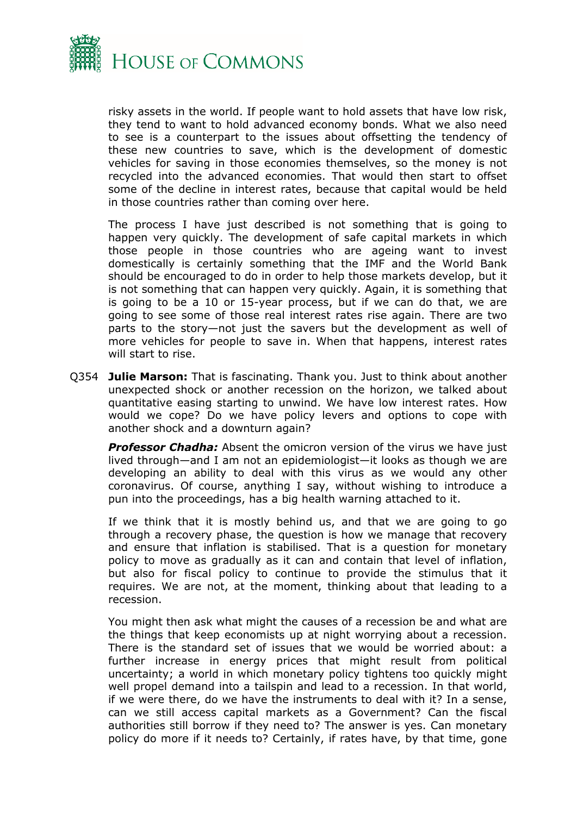

risky assets in the world. If people want to hold assets that have low risk, they tend to want to hold advanced economy bonds. What we also need to see is a counterpart to the issues about offsetting the tendency of these new countries to save, which is the development of domestic vehicles for saving in those economies themselves, so the money is not recycled into the advanced economies. That would then start to offset some of the decline in interest rates, because that capital would be held in those countries rather than coming over here.

The process I have just described is not something that is going to happen very quickly. The development of safe capital markets in which those people in those countries who are ageing want to invest domestically is certainly something that the IMF and the World Bank should be encouraged to do in order to help those markets develop, but it is not something that can happen very quickly. Again, it is something that is going to be a 10 or 15-year process, but if we can do that, we are going to see some of those real interest rates rise again. There are two parts to the story—not just the savers but the development as well of more vehicles for people to save in. When that happens, interest rates will start to rise.

Q354 **Julie Marson:** That is fascinating. Thank you. Just to think about another unexpected shock or another recession on the horizon, we talked about quantitative easing starting to unwind. We have low interest rates. How would we cope? Do we have policy levers and options to cope with another shock and a downturn again?

*Professor Chadha:* Absent the omicron version of the virus we have just lived through—and I am not an epidemiologist—it looks as though we are developing an ability to deal with this virus as we would any other coronavirus. Of course, anything I say, without wishing to introduce a pun into the proceedings, has a big health warning attached to it.

If we think that it is mostly behind us, and that we are going to go through a recovery phase, the question is how we manage that recovery and ensure that inflation is stabilised. That is a question for monetary policy to move as gradually as it can and contain that level of inflation, but also for fiscal policy to continue to provide the stimulus that it requires. We are not, at the moment, thinking about that leading to a recession.

You might then ask what might the causes of a recession be and what are the things that keep economists up at night worrying about a recession. There is the standard set of issues that we would be worried about: a further increase in energy prices that might result from political uncertainty; a world in which monetary policy tightens too quickly might well propel demand into a tailspin and lead to a recession. In that world, if we were there, do we have the instruments to deal with it? In a sense, can we still access capital markets as a Government? Can the fiscal authorities still borrow if they need to? The answer is yes. Can monetary policy do more if it needs to? Certainly, if rates have, by that time, gone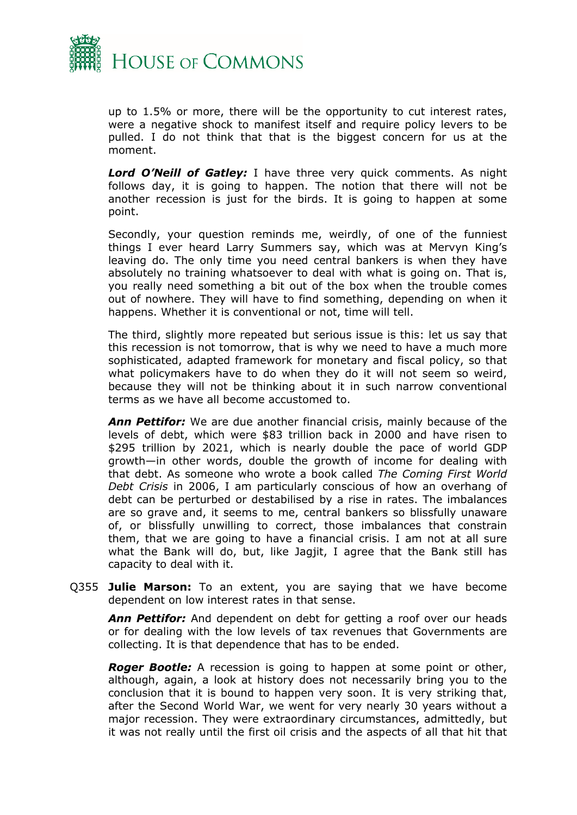

up to 1.5% or more, there will be the opportunity to cut interest rates, were a negative shock to manifest itself and require policy levers to be pulled. I do not think that that is the biggest concern for us at the moment.

*Lord O'Neill of Gatley:* I have three very quick comments. As night follows day, it is going to happen. The notion that there will not be another recession is just for the birds. It is going to happen at some point.

Secondly, your question reminds me, weirdly, of one of the funniest things I ever heard Larry Summers say, which was at Mervyn King's leaving do. The only time you need central bankers is when they have absolutely no training whatsoever to deal with what is going on. That is, you really need something a bit out of the box when the trouble comes out of nowhere. They will have to find something, depending on when it happens. Whether it is conventional or not, time will tell.

The third, slightly more repeated but serious issue is this: let us say that this recession is not tomorrow, that is why we need to have a much more sophisticated, adapted framework for monetary and fiscal policy, so that what policymakers have to do when they do it will not seem so weird, because they will not be thinking about it in such narrow conventional terms as we have all become accustomed to.

*Ann Pettifor:* We are due another financial crisis, mainly because of the levels of debt, which were \$83 trillion back in 2000 and have risen to \$295 trillion by 2021, which is nearly double the pace of world GDP growth—in other words, double the growth of income for dealing with that debt. As someone who wrote a book called *The Coming First World Debt Crisis* in 2006, I am particularly conscious of how an overhang of debt can be perturbed or destabilised by a rise in rates. The imbalances are so grave and, it seems to me, central bankers so blissfully unaware of, or blissfully unwilling to correct, those imbalances that constrain them, that we are going to have a financial crisis. I am not at all sure what the Bank will do, but, like Jagjit, I agree that the Bank still has capacity to deal with it.

Q355 **Julie Marson:** To an extent, you are saying that we have become dependent on low interest rates in that sense.

*Ann Pettifor:* And dependent on debt for getting a roof over our heads or for dealing with the low levels of tax revenues that Governments are collecting. It is that dependence that has to be ended.

*Roger Bootle:* A recession is going to happen at some point or other, although, again, a look at history does not necessarily bring you to the conclusion that it is bound to happen very soon. It is very striking that, after the Second World War, we went for very nearly 30 years without a major recession. They were extraordinary circumstances, admittedly, but it was not really until the first oil crisis and the aspects of all that hit that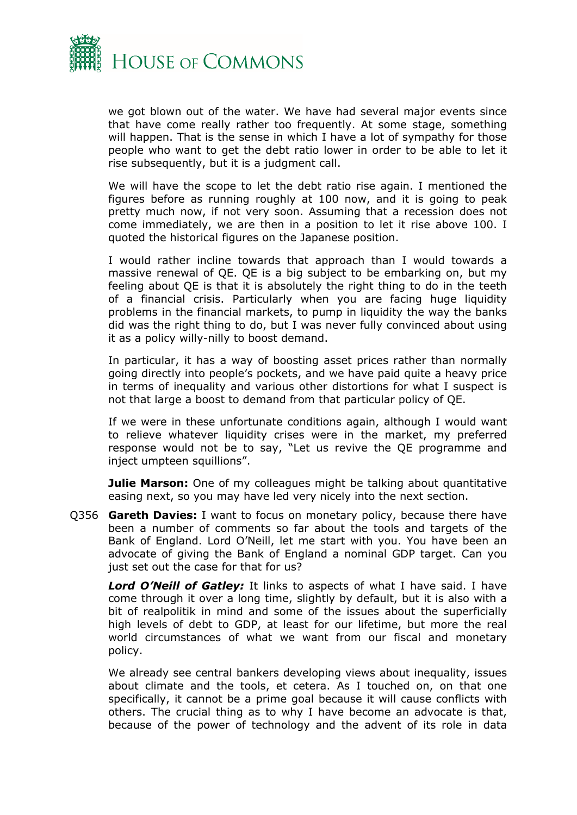

we got blown out of the water. We have had several major events since that have come really rather too frequently. At some stage, something will happen. That is the sense in which I have a lot of sympathy for those people who want to get the debt ratio lower in order to be able to let it rise subsequently, but it is a judgment call.

We will have the scope to let the debt ratio rise again. I mentioned the figures before as running roughly at 100 now, and it is going to peak pretty much now, if not very soon. Assuming that a recession does not come immediately, we are then in a position to let it rise above 100. I quoted the historical figures on the Japanese position.

I would rather incline towards that approach than I would towards a massive renewal of QE. QE is a big subject to be embarking on, but my feeling about QE is that it is absolutely the right thing to do in the teeth of a financial crisis. Particularly when you are facing huge liquidity problems in the financial markets, to pump in liquidity the way the banks did was the right thing to do, but I was never fully convinced about using it as a policy willy-nilly to boost demand.

In particular, it has a way of boosting asset prices rather than normally going directly into people's pockets, and we have paid quite a heavy price in terms of inequality and various other distortions for what I suspect is not that large a boost to demand from that particular policy of QE.

If we were in these unfortunate conditions again, although I would want to relieve whatever liquidity crises were in the market, my preferred response would not be to say, "Let us revive the QE programme and inject umpteen squillions".

**Julie Marson:** One of my colleagues might be talking about quantitative easing next, so you may have led very nicely into the next section.

Q356 **Gareth Davies:** I want to focus on monetary policy, because there have been a number of comments so far about the tools and targets of the Bank of England. Lord O'Neill, let me start with you. You have been an advocate of giving the Bank of England a nominal GDP target. Can you just set out the case for that for us?

*Lord O'Neill of Gatley:* It links to aspects of what I have said. I have come through it over a long time, slightly by default, but it is also with a bit of realpolitik in mind and some of the issues about the superficially high levels of debt to GDP, at least for our lifetime, but more the real world circumstances of what we want from our fiscal and monetary policy.

We already see central bankers developing views about inequality, issues about climate and the tools, et cetera. As I touched on, on that one specifically, it cannot be a prime goal because it will cause conflicts with others. The crucial thing as to why I have become an advocate is that, because of the power of technology and the advent of its role in data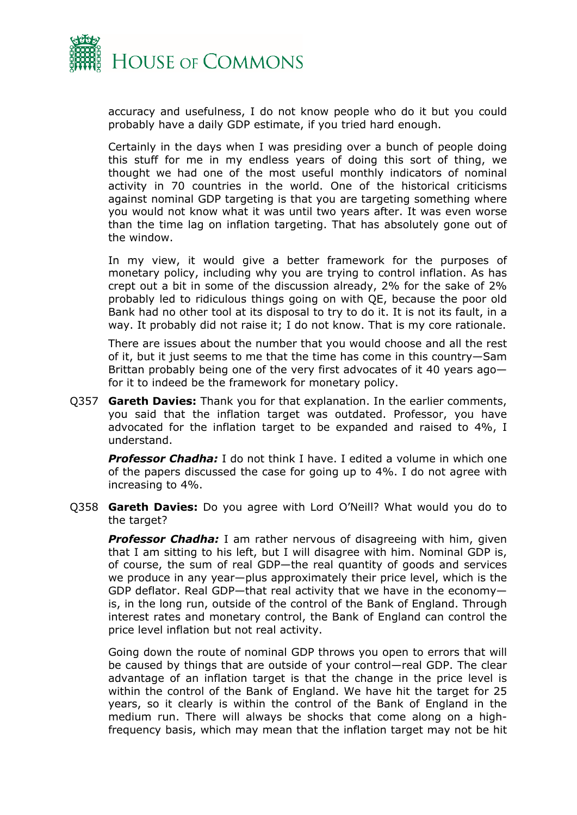

accuracy and usefulness, I do not know people who do it but you could probably have a daily GDP estimate, if you tried hard enough.

Certainly in the days when I was presiding over a bunch of people doing this stuff for me in my endless years of doing this sort of thing, we thought we had one of the most useful monthly indicators of nominal activity in 70 countries in the world. One of the historical criticisms against nominal GDP targeting is that you are targeting something where you would not know what it was until two years after. It was even worse than the time lag on inflation targeting. That has absolutely gone out of the window.

In my view, it would give a better framework for the purposes of monetary policy, including why you are trying to control inflation. As has crept out a bit in some of the discussion already, 2% for the sake of 2% probably led to ridiculous things going on with QE, because the poor old Bank had no other tool at its disposal to try to do it. It is not its fault, in a way. It probably did not raise it; I do not know. That is my core rationale.

There are issues about the number that you would choose and all the rest of it, but it just seems to me that the time has come in this country—Sam Brittan probably being one of the very first advocates of it 40 years ago for it to indeed be the framework for monetary policy.

Q357 **Gareth Davies:** Thank you for that explanation. In the earlier comments, you said that the inflation target was outdated. Professor, you have advocated for the inflation target to be expanded and raised to 4%, I understand.

*Professor Chadha:* I do not think I have. I edited a volume in which one of the papers discussed the case for going up to 4%. I do not agree with increasing to 4%.

Q358 **Gareth Davies:** Do you agree with Lord O'Neill? What would you do to the target?

**Professor Chadha:** I am rather nervous of disagreeing with him, given that I am sitting to his left, but I will disagree with him. Nominal GDP is, of course, the sum of real GDP—the real quantity of goods and services we produce in any year—plus approximately their price level, which is the GDP deflator. Real GDP—that real activity that we have in the economy is, in the long run, outside of the control of the Bank of England. Through interest rates and monetary control, the Bank of England can control the price level inflation but not real activity.

Going down the route of nominal GDP throws you open to errors that will be caused by things that are outside of your control—real GDP. The clear advantage of an inflation target is that the change in the price level is within the control of the Bank of England. We have hit the target for 25 years, so it clearly is within the control of the Bank of England in the medium run. There will always be shocks that come along on a highfrequency basis, which may mean that the inflation target may not be hit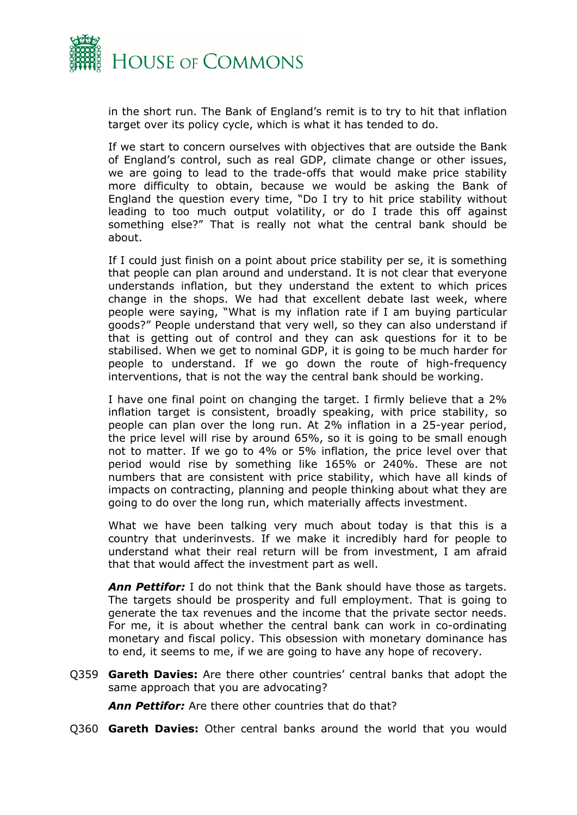

in the short run. The Bank of England's remit is to try to hit that inflation target over its policy cycle, which is what it has tended to do.

If we start to concern ourselves with objectives that are outside the Bank of England's control, such as real GDP, climate change or other issues, we are going to lead to the trade-offs that would make price stability more difficulty to obtain, because we would be asking the Bank of England the question every time, "Do I try to hit price stability without leading to too much output volatility, or do I trade this off against something else?" That is really not what the central bank should be about.

If I could just finish on a point about price stability per se, it is something that people can plan around and understand. It is not clear that everyone understands inflation, but they understand the extent to which prices change in the shops. We had that excellent debate last week, where people were saying, "What is my inflation rate if I am buying particular goods?" People understand that very well, so they can also understand if that is getting out of control and they can ask questions for it to be stabilised. When we get to nominal GDP, it is going to be much harder for people to understand. If we go down the route of high-frequency interventions, that is not the way the central bank should be working.

I have one final point on changing the target. I firmly believe that a 2% inflation target is consistent, broadly speaking, with price stability, so people can plan over the long run. At 2% inflation in a 25-year period, the price level will rise by around 65%, so it is going to be small enough not to matter. If we go to 4% or 5% inflation, the price level over that period would rise by something like 165% or 240%. These are not numbers that are consistent with price stability, which have all kinds of impacts on contracting, planning and people thinking about what they are going to do over the long run, which materially affects investment.

What we have been talking very much about today is that this is a country that underinvests. If we make it incredibly hard for people to understand what their real return will be from investment, I am afraid that that would affect the investment part as well.

*Ann Pettifor:* I do not think that the Bank should have those as targets. The targets should be prosperity and full employment. That is going to generate the tax revenues and the income that the private sector needs. For me, it is about whether the central bank can work in co-ordinating monetary and fiscal policy. This obsession with monetary dominance has to end, it seems to me, if we are going to have any hope of recovery.

Q359 **Gareth Davies:** Are there other countries' central banks that adopt the same approach that you are advocating?

**Ann Pettifor:** Are there other countries that do that?

Q360 **Gareth Davies:** Other central banks around the world that you would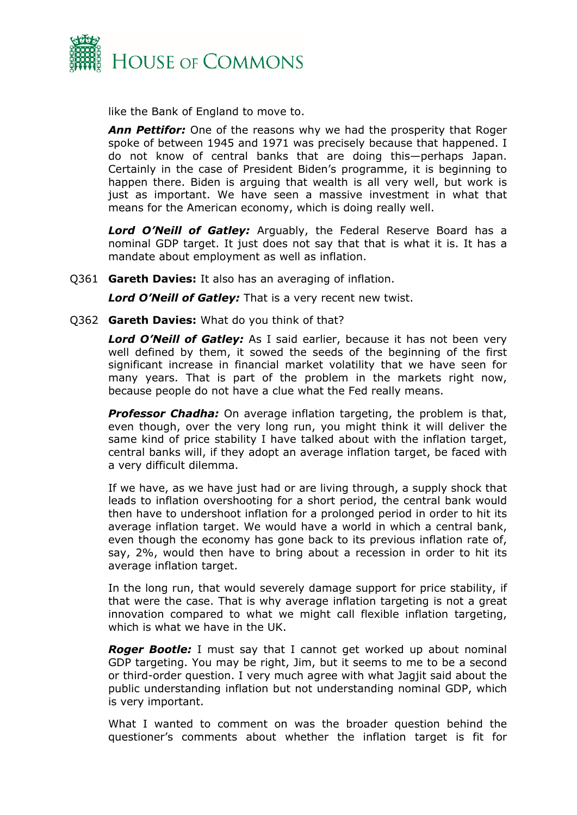

like the Bank of England to move to.

*Ann Pettifor:* One of the reasons why we had the prosperity that Roger spoke of between 1945 and 1971 was precisely because that happened. I do not know of central banks that are doing this—perhaps Japan. Certainly in the case of President Biden's programme, it is beginning to happen there. Biden is arguing that wealth is all very well, but work is just as important. We have seen a massive investment in what that means for the American economy, which is doing really well.

*Lord O'Neill of Gatley:* Arguably, the Federal Reserve Board has a nominal GDP target. It just does not say that that is what it is. It has a mandate about employment as well as inflation.

Q361 **Gareth Davies:** It also has an averaging of inflation.

*Lord O'Neill of Gatley:* That is a very recent new twist.

Q362 **Gareth Davies:** What do you think of that?

*Lord O'Neill of Gatley:* As I said earlier, because it has not been very well defined by them, it sowed the seeds of the beginning of the first significant increase in financial market volatility that we have seen for many years. That is part of the problem in the markets right now, because people do not have a clue what the Fed really means.

*Professor Chadha:* On average inflation targeting, the problem is that, even though, over the very long run, you might think it will deliver the same kind of price stability I have talked about with the inflation target, central banks will, if they adopt an average inflation target, be faced with a very difficult dilemma.

If we have, as we have just had or are living through, a supply shock that leads to inflation overshooting for a short period, the central bank would then have to undershoot inflation for a prolonged period in order to hit its average inflation target. We would have a world in which a central bank, even though the economy has gone back to its previous inflation rate of, say, 2%, would then have to bring about a recession in order to hit its average inflation target.

In the long run, that would severely damage support for price stability, if that were the case. That is why average inflation targeting is not a great innovation compared to what we might call flexible inflation targeting, which is what we have in the UK.

*Roger Bootle:* I must say that I cannot get worked up about nominal GDP targeting. You may be right, Jim, but it seems to me to be a second or third-order question. I very much agree with what Jagjit said about the public understanding inflation but not understanding nominal GDP, which is very important.

What I wanted to comment on was the broader question behind the questioner's comments about whether the inflation target is fit for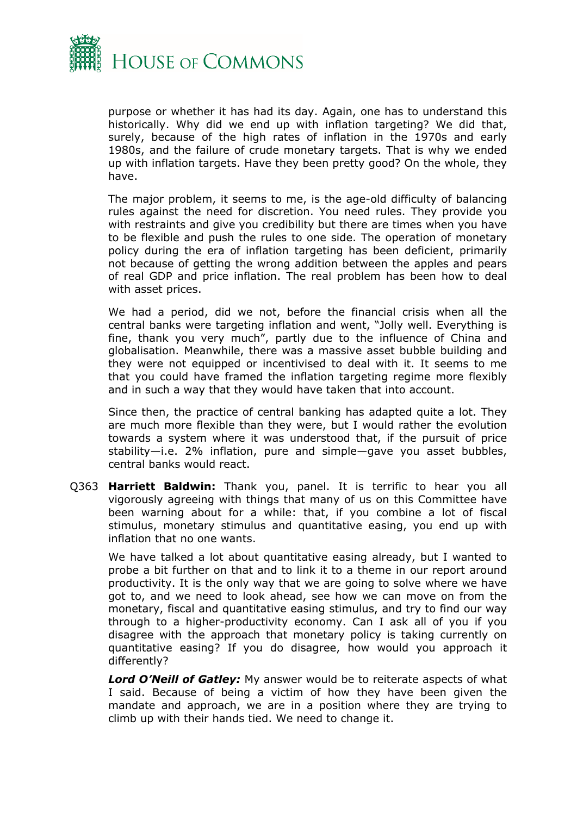

purpose or whether it has had its day. Again, one has to understand this historically. Why did we end up with inflation targeting? We did that, surely, because of the high rates of inflation in the 1970s and early 1980s, and the failure of crude monetary targets. That is why we ended up with inflation targets. Have they been pretty good? On the whole, they have.

The major problem, it seems to me, is the age-old difficulty of balancing rules against the need for discretion. You need rules. They provide you with restraints and give you credibility but there are times when you have to be flexible and push the rules to one side. The operation of monetary policy during the era of inflation targeting has been deficient, primarily not because of getting the wrong addition between the apples and pears of real GDP and price inflation. The real problem has been how to deal with asset prices.

We had a period, did we not, before the financial crisis when all the central banks were targeting inflation and went, "Jolly well. Everything is fine, thank you very much", partly due to the influence of China and globalisation. Meanwhile, there was a massive asset bubble building and they were not equipped or incentivised to deal with it. It seems to me that you could have framed the inflation targeting regime more flexibly and in such a way that they would have taken that into account.

Since then, the practice of central banking has adapted quite a lot. They are much more flexible than they were, but I would rather the evolution towards a system where it was understood that, if the pursuit of price stability—i.e. 2% inflation, pure and simple—gave you asset bubbles, central banks would react.

Q363 **Harriett Baldwin:** Thank you, panel. It is terrific to hear you all vigorously agreeing with things that many of us on this Committee have been warning about for a while: that, if you combine a lot of fiscal stimulus, monetary stimulus and quantitative easing, you end up with inflation that no one wants.

We have talked a lot about quantitative easing already, but I wanted to probe a bit further on that and to link it to a theme in our report around productivity. It is the only way that we are going to solve where we have got to, and we need to look ahead, see how we can move on from the monetary, fiscal and quantitative easing stimulus, and try to find our way through to a higher-productivity economy. Can I ask all of you if you disagree with the approach that monetary policy is taking currently on quantitative easing? If you do disagree, how would you approach it differently?

*Lord O'Neill of Gatley:* My answer would be to reiterate aspects of what I said. Because of being a victim of how they have been given the mandate and approach, we are in a position where they are trying to climb up with their hands tied. We need to change it.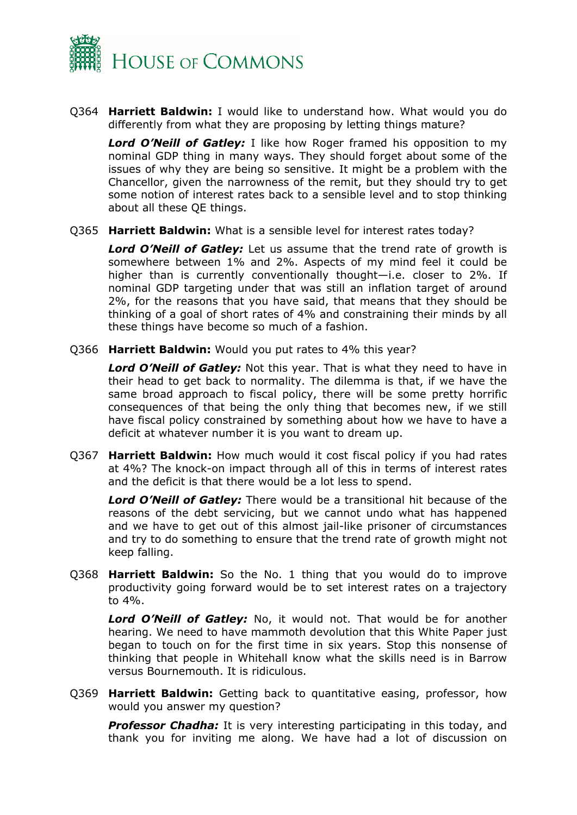

Q364 **Harriett Baldwin:** I would like to understand how. What would you do differently from what they are proposing by letting things mature?

*Lord O'Neill of Gatley:* I like how Roger framed his opposition to my nominal GDP thing in many ways. They should forget about some of the issues of why they are being so sensitive. It might be a problem with the Chancellor, given the narrowness of the remit, but they should try to get some notion of interest rates back to a sensible level and to stop thinking about all these QE things.

Q365 **Harriett Baldwin:** What is a sensible level for interest rates today?

*Lord O'Neill of Gatley:* Let us assume that the trend rate of growth is somewhere between 1% and 2%. Aspects of my mind feel it could be higher than is currently conventionally thought—i.e. closer to 2%. If nominal GDP targeting under that was still an inflation target of around 2%, for the reasons that you have said, that means that they should be thinking of a goal of short rates of 4% and constraining their minds by all these things have become so much of a fashion.

Q366 **Harriett Baldwin:** Would you put rates to 4% this year?

*Lord O'Neill of Gatley:* Not this year. That is what they need to have in their head to get back to normality. The dilemma is that, if we have the same broad approach to fiscal policy, there will be some pretty horrific consequences of that being the only thing that becomes new, if we still have fiscal policy constrained by something about how we have to have a deficit at whatever number it is you want to dream up.

Q367 **Harriett Baldwin:** How much would it cost fiscal policy if you had rates at 4%? The knock-on impact through all of this in terms of interest rates and the deficit is that there would be a lot less to spend.

*Lord O'Neill of Gatley:* There would be a transitional hit because of the reasons of the debt servicing, but we cannot undo what has happened and we have to get out of this almost jail-like prisoner of circumstances and try to do something to ensure that the trend rate of growth might not keep falling.

Q368 **Harriett Baldwin:** So the No. 1 thing that you would do to improve productivity going forward would be to set interest rates on a trajectory to 4%.

*Lord O'Neill of Gatley:* No, it would not. That would be for another hearing. We need to have mammoth devolution that this White Paper just began to touch on for the first time in six years. Stop this nonsense of thinking that people in Whitehall know what the skills need is in Barrow versus Bournemouth. It is ridiculous.

Q369 **Harriett Baldwin:** Getting back to quantitative easing, professor, how would you answer my question?

**Professor Chadha:** It is very interesting participating in this today, and thank you for inviting me along. We have had a lot of discussion on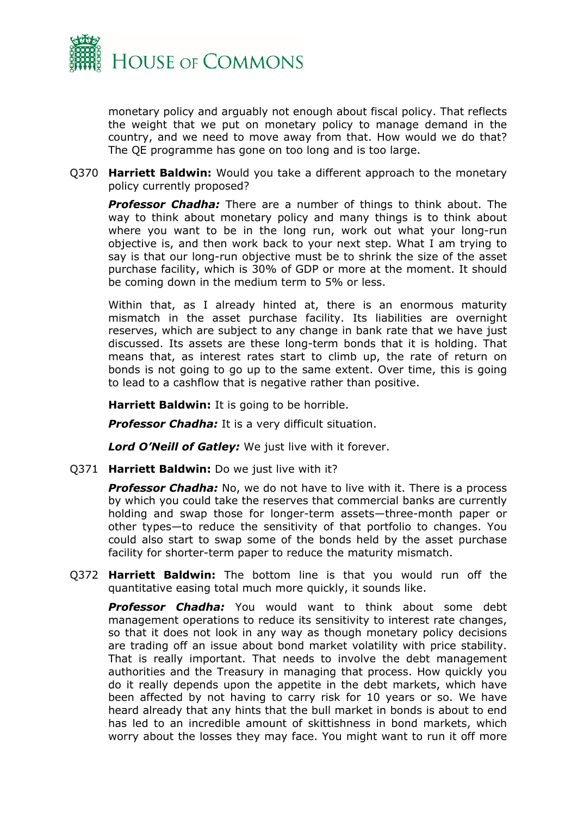

monetary policy and arguably not enough about fiscal policy. That reflects the weight that we put on monetary policy to manage demand in the country, and we need to move away from that. How would we do that? The QE programme has gone on too long and is too large.

Q370 **Harriett Baldwin:** Would you take a different approach to the monetary policy currently proposed?

*Professor Chadha:* There are a number of things to think about. The way to think about monetary policy and many things is to think about where you want to be in the long run, work out what your long-run objective is, and then work back to your next step. What I am trying to say is that our long-run objective must be to shrink the size of the asset purchase facility, which is 30% of GDP or more at the moment. It should be coming down in the medium term to 5% or less.

Within that, as I already hinted at, there is an enormous maturity mismatch in the asset purchase facility. Its liabilities are overnight reserves, which are subject to any change in bank rate that we have just discussed. Its assets are these long-term bonds that it is holding. That means that, as interest rates start to climb up, the rate of return on bonds is not going to go up to the same extent. Over time, this is going to lead to a cashflow that is negative rather than positive.

**Harriett Baldwin:** It is going to be horrible.

*Professor Chadha:* It is a very difficult situation.

*Lord O'Neill of Gatley:* We just live with it forever.

Q371 **Harriett Baldwin:** Do we just live with it?

*Professor Chadha:* No, we do not have to live with it. There is a process by which you could take the reserves that commercial banks are currently holding and swap those for longer-term assets—three-month paper or other types—to reduce the sensitivity of that portfolio to changes. You could also start to swap some of the bonds held by the asset purchase facility for shorter-term paper to reduce the maturity mismatch.

Q372 **Harriett Baldwin:** The bottom line is that you would run off the quantitative easing total much more quickly, it sounds like.

*Professor Chadha:* You would want to think about some debt management operations to reduce its sensitivity to interest rate changes, so that it does not look in any way as though monetary policy decisions are trading off an issue about bond market volatility with price stability. That is really important. That needs to involve the debt management authorities and the Treasury in managing that process. How quickly you do it really depends upon the appetite in the debt markets, which have been affected by not having to carry risk for 10 years or so. We have heard already that any hints that the bull market in bonds is about to end has led to an incredible amount of skittishness in bond markets, which worry about the losses they may face. You might want to run it off more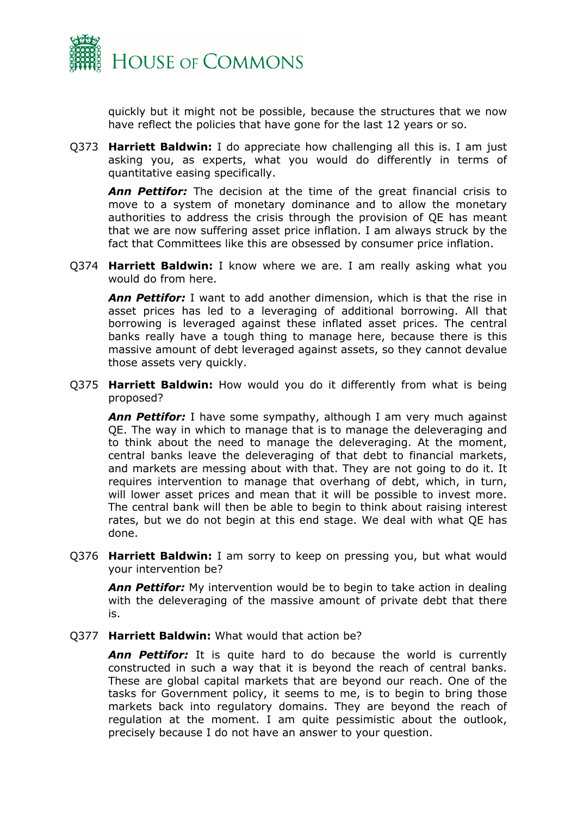

quickly but it might not be possible, because the structures that we now have reflect the policies that have gone for the last 12 years or so.

Q373 **Harriett Baldwin:** I do appreciate how challenging all this is. I am just asking you, as experts, what you would do differently in terms of quantitative easing specifically.

*Ann Pettifor:* The decision at the time of the great financial crisis to move to a system of monetary dominance and to allow the monetary authorities to address the crisis through the provision of QE has meant that we are now suffering asset price inflation. I am always struck by the fact that Committees like this are obsessed by consumer price inflation.

Q374 **Harriett Baldwin:** I know where we are. I am really asking what you would do from here.

*Ann Pettifor:* I want to add another dimension, which is that the rise in asset prices has led to a leveraging of additional borrowing. All that borrowing is leveraged against these inflated asset prices. The central banks really have a tough thing to manage here, because there is this massive amount of debt leveraged against assets, so they cannot devalue those assets very quickly.

Q375 **Harriett Baldwin:** How would you do it differently from what is being proposed?

*Ann Pettifor:* I have some sympathy, although I am very much against QE. The way in which to manage that is to manage the deleveraging and to think about the need to manage the deleveraging. At the moment, central banks leave the deleveraging of that debt to financial markets, and markets are messing about with that. They are not going to do it. It requires intervention to manage that overhang of debt, which, in turn, will lower asset prices and mean that it will be possible to invest more. The central bank will then be able to begin to think about raising interest rates, but we do not begin at this end stage. We deal with what QE has done.

Q376 **Harriett Baldwin:** I am sorry to keep on pressing you, but what would your intervention be?

*Ann Pettifor:* My intervention would be to begin to take action in dealing with the deleveraging of the massive amount of private debt that there is.

Q377 **Harriett Baldwin:** What would that action be?

*Ann Pettifor:* It is quite hard to do because the world is currently constructed in such a way that it is beyond the reach of central banks. These are global capital markets that are beyond our reach. One of the tasks for Government policy, it seems to me, is to begin to bring those markets back into regulatory domains. They are beyond the reach of regulation at the moment. I am quite pessimistic about the outlook, precisely because I do not have an answer to your question.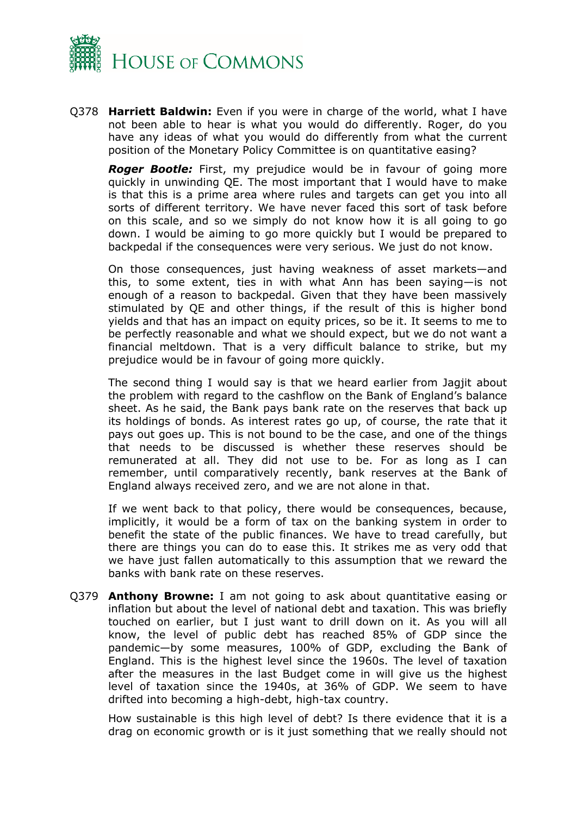

Q378 **Harriett Baldwin:** Even if you were in charge of the world, what I have not been able to hear is what you would do differently. Roger, do you have any ideas of what you would do differently from what the current position of the Monetary Policy Committee is on quantitative easing?

*Roger Bootle:* First, my prejudice would be in favour of going more quickly in unwinding QE. The most important that I would have to make is that this is a prime area where rules and targets can get you into all sorts of different territory. We have never faced this sort of task before on this scale, and so we simply do not know how it is all going to go down. I would be aiming to go more quickly but I would be prepared to backpedal if the consequences were very serious. We just do not know.

On those consequences, just having weakness of asset markets—and this, to some extent, ties in with what Ann has been saying—is not enough of a reason to backpedal. Given that they have been massively stimulated by QE and other things, if the result of this is higher bond yields and that has an impact on equity prices, so be it. It seems to me to be perfectly reasonable and what we should expect, but we do not want a financial meltdown. That is a very difficult balance to strike, but my prejudice would be in favour of going more quickly.

The second thing I would say is that we heard earlier from Jagjit about the problem with regard to the cashflow on the Bank of England's balance sheet. As he said, the Bank pays bank rate on the reserves that back up its holdings of bonds. As interest rates go up, of course, the rate that it pays out goes up. This is not bound to be the case, and one of the things that needs to be discussed is whether these reserves should be remunerated at all. They did not use to be. For as long as I can remember, until comparatively recently, bank reserves at the Bank of England always received zero, and we are not alone in that.

If we went back to that policy, there would be consequences, because, implicitly, it would be a form of tax on the banking system in order to benefit the state of the public finances. We have to tread carefully, but there are things you can do to ease this. It strikes me as very odd that we have just fallen automatically to this assumption that we reward the banks with bank rate on these reserves.

Q379 **Anthony Browne:** I am not going to ask about quantitative easing or inflation but about the level of national debt and taxation. This was briefly touched on earlier, but I just want to drill down on it. As you will all know, the level of public debt has reached 85% of GDP since the pandemic—by some measures, 100% of GDP, excluding the Bank of England. This is the highest level since the 1960s. The level of taxation after the measures in the last Budget come in will give us the highest level of taxation since the 1940s, at 36% of GDP. We seem to have drifted into becoming a high-debt, high-tax country.

How sustainable is this high level of debt? Is there evidence that it is a drag on economic growth or is it just something that we really should not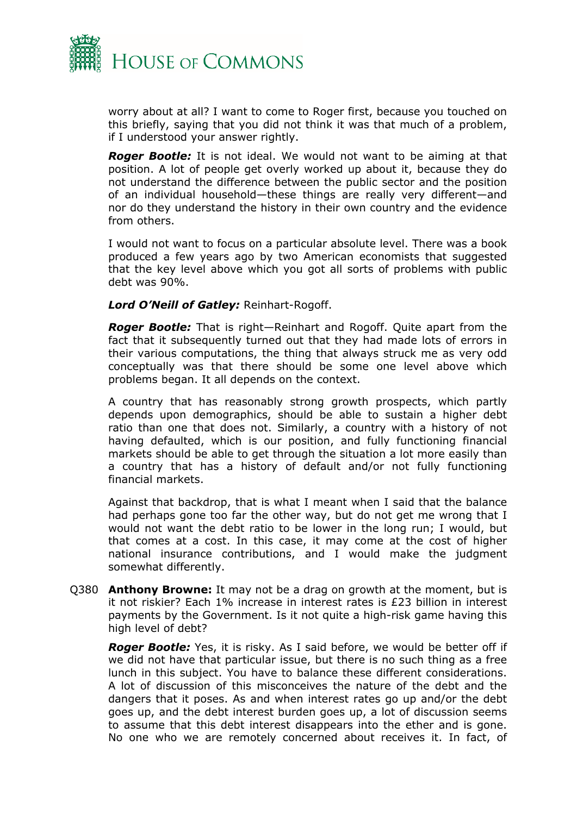

worry about at all? I want to come to Roger first, because you touched on this briefly, saying that you did not think it was that much of a problem, if I understood your answer rightly.

*Roger Bootle:* It is not ideal. We would not want to be aiming at that position. A lot of people get overly worked up about it, because they do not understand the difference between the public sector and the position of an individual household—these things are really very different—and nor do they understand the history in their own country and the evidence from others.

I would not want to focus on a particular absolute level. There was a book produced a few years ago by two American economists that suggested that the key level above which you got all sorts of problems with public debt was 90%.

#### *Lord O'Neill of Gatley:* Reinhart-Rogoff.

*Roger Bootle:* That is right—Reinhart and Rogoff. Quite apart from the fact that it subsequently turned out that they had made lots of errors in their various computations, the thing that always struck me as very odd conceptually was that there should be some one level above which problems began. It all depends on the context.

A country that has reasonably strong growth prospects, which partly depends upon demographics, should be able to sustain a higher debt ratio than one that does not. Similarly, a country with a history of not having defaulted, which is our position, and fully functioning financial markets should be able to get through the situation a lot more easily than a country that has a history of default and/or not fully functioning financial markets.

Against that backdrop, that is what I meant when I said that the balance had perhaps gone too far the other way, but do not get me wrong that I would not want the debt ratio to be lower in the long run; I would, but that comes at a cost. In this case, it may come at the cost of higher national insurance contributions, and I would make the judgment somewhat differently.

Q380 **Anthony Browne:** It may not be a drag on growth at the moment, but is it not riskier? Each 1% increase in interest rates is £23 billion in interest payments by the Government. Is it not quite a high-risk game having this high level of debt?

*Roger Bootle:* Yes, it is risky. As I said before, we would be better off if we did not have that particular issue, but there is no such thing as a free lunch in this subject. You have to balance these different considerations. A lot of discussion of this misconceives the nature of the debt and the dangers that it poses. As and when interest rates go up and/or the debt goes up, and the debt interest burden goes up, a lot of discussion seems to assume that this debt interest disappears into the ether and is gone. No one who we are remotely concerned about receives it. In fact, of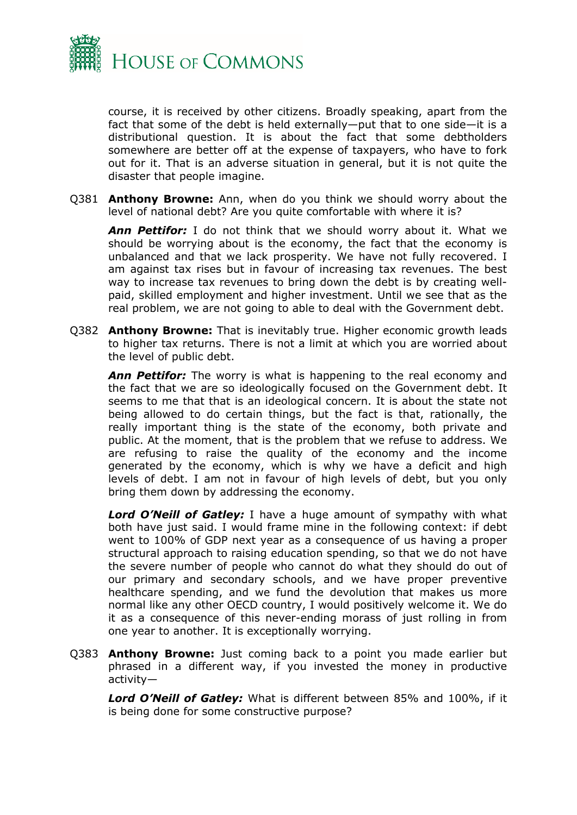

course, it is received by other citizens. Broadly speaking, apart from the fact that some of the debt is held externally—put that to one side—it is a distributional question. It is about the fact that some debtholders somewhere are better off at the expense of taxpayers, who have to fork out for it. That is an adverse situation in general, but it is not quite the disaster that people imagine.

Q381 **Anthony Browne:** Ann, when do you think we should worry about the level of national debt? Are you quite comfortable with where it is?

*Ann Pettifor:* I do not think that we should worry about it. What we should be worrying about is the economy, the fact that the economy is unbalanced and that we lack prosperity. We have not fully recovered. I am against tax rises but in favour of increasing tax revenues. The best way to increase tax revenues to bring down the debt is by creating wellpaid, skilled employment and higher investment. Until we see that as the real problem, we are not going to able to deal with the Government debt.

Q382 **Anthony Browne:** That is inevitably true. Higher economic growth leads to higher tax returns. There is not a limit at which you are worried about the level of public debt.

*Ann Pettifor:* The worry is what is happening to the real economy and the fact that we are so ideologically focused on the Government debt. It seems to me that that is an ideological concern. It is about the state not being allowed to do certain things, but the fact is that, rationally, the really important thing is the state of the economy, both private and public. At the moment, that is the problem that we refuse to address. We are refusing to raise the quality of the economy and the income generated by the economy, which is why we have a deficit and high levels of debt. I am not in favour of high levels of debt, but you only bring them down by addressing the economy.

*Lord O'Neill of Gatley:* I have a huge amount of sympathy with what both have just said. I would frame mine in the following context: if debt went to 100% of GDP next year as a consequence of us having a proper structural approach to raising education spending, so that we do not have the severe number of people who cannot do what they should do out of our primary and secondary schools, and we have proper preventive healthcare spending, and we fund the devolution that makes us more normal like any other OECD country, I would positively welcome it. We do it as a consequence of this never-ending morass of just rolling in from one year to another. It is exceptionally worrying.

Q383 **Anthony Browne:** Just coming back to a point you made earlier but phrased in a different way, if you invested the money in productive activity—

*Lord O'Neill of Gatley:* What is different between 85% and 100%, if it is being done for some constructive purpose?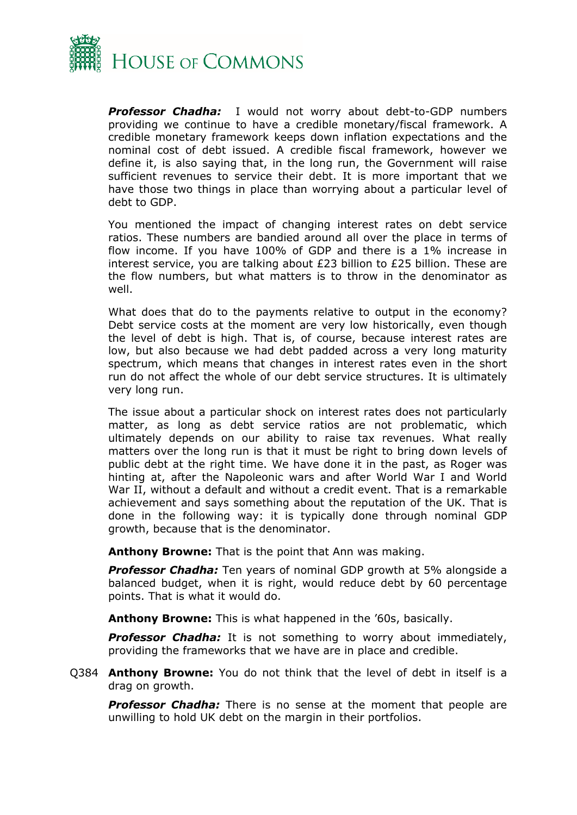

*Professor Chadha:* I would not worry about debt-to-GDP numbers providing we continue to have a credible monetary/fiscal framework. A credible monetary framework keeps down inflation expectations and the nominal cost of debt issued. A credible fiscal framework, however we define it, is also saying that, in the long run, the Government will raise sufficient revenues to service their debt. It is more important that we have those two things in place than worrying about a particular level of debt to GDP.

You mentioned the impact of changing interest rates on debt service ratios. These numbers are bandied around all over the place in terms of flow income. If you have 100% of GDP and there is a 1% increase in interest service, you are talking about £23 billion to £25 billion. These are the flow numbers, but what matters is to throw in the denominator as well.

What does that do to the payments relative to output in the economy? Debt service costs at the moment are very low historically, even though the level of debt is high. That is, of course, because interest rates are low, but also because we had debt padded across a very long maturity spectrum, which means that changes in interest rates even in the short run do not affect the whole of our debt service structures. It is ultimately very long run.

The issue about a particular shock on interest rates does not particularly matter, as long as debt service ratios are not problematic, which ultimately depends on our ability to raise tax revenues. What really matters over the long run is that it must be right to bring down levels of public debt at the right time. We have done it in the past, as Roger was hinting at, after the Napoleonic wars and after World War I and World War II, without a default and without a credit event. That is a remarkable achievement and says something about the reputation of the UK. That is done in the following way: it is typically done through nominal GDP growth, because that is the denominator.

**Anthony Browne:** That is the point that Ann was making.

*Professor Chadha:* Ten years of nominal GDP growth at 5% alongside a balanced budget, when it is right, would reduce debt by 60 percentage points. That is what it would do.

**Anthony Browne:** This is what happened in the '60s, basically.

*Professor Chadha:* It is not something to worry about immediately, providing the frameworks that we have are in place and credible.

Q384 **Anthony Browne:** You do not think that the level of debt in itself is a drag on growth.

*Professor Chadha:* There is no sense at the moment that people are unwilling to hold UK debt on the margin in their portfolios.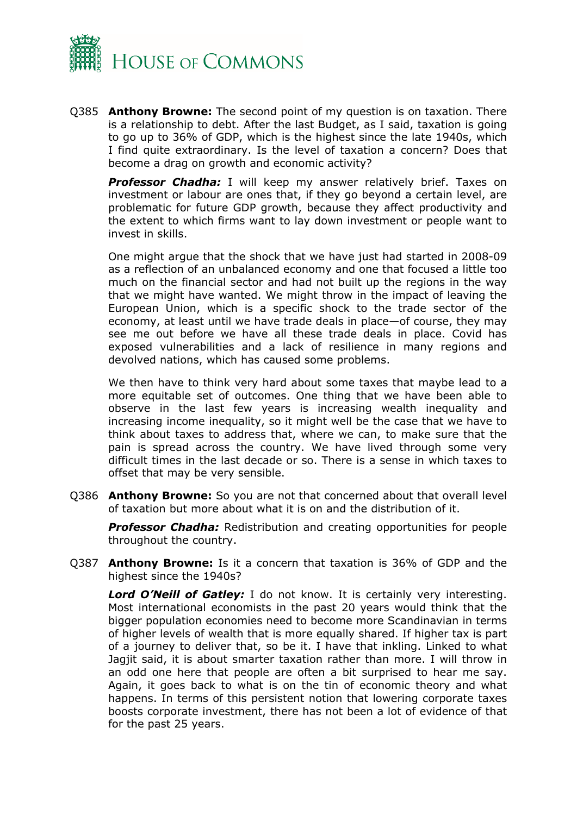

Q385 **Anthony Browne:** The second point of my question is on taxation. There is a relationship to debt. After the last Budget, as I said, taxation is going to go up to 36% of GDP, which is the highest since the late 1940s, which I find quite extraordinary. Is the level of taxation a concern? Does that become a drag on growth and economic activity?

*Professor Chadha:* I will keep my answer relatively brief. Taxes on investment or labour are ones that, if they go beyond a certain level, are problematic for future GDP growth, because they affect productivity and the extent to which firms want to lay down investment or people want to invest in skills.

One might argue that the shock that we have just had started in 2008-09 as a reflection of an unbalanced economy and one that focused a little too much on the financial sector and had not built up the regions in the way that we might have wanted. We might throw in the impact of leaving the European Union, which is a specific shock to the trade sector of the economy, at least until we have trade deals in place—of course, they may see me out before we have all these trade deals in place. Covid has exposed vulnerabilities and a lack of resilience in many regions and devolved nations, which has caused some problems.

We then have to think very hard about some taxes that maybe lead to a more equitable set of outcomes. One thing that we have been able to observe in the last few years is increasing wealth inequality and increasing income inequality, so it might well be the case that we have to think about taxes to address that, where we can, to make sure that the pain is spread across the country. We have lived through some very difficult times in the last decade or so. There is a sense in which taxes to offset that may be very sensible.

Q386 **Anthony Browne:** So you are not that concerned about that overall level of taxation but more about what it is on and the distribution of it.

**Professor Chadha:** Redistribution and creating opportunities for people throughout the country.

Q387 **Anthony Browne:** Is it a concern that taxation is 36% of GDP and the highest since the 1940s?

*Lord O'Neill of Gatley:* I do not know. It is certainly very interesting. Most international economists in the past 20 years would think that the bigger population economies need to become more Scandinavian in terms of higher levels of wealth that is more equally shared. If higher tax is part of a journey to deliver that, so be it. I have that inkling. Linked to what Jagjit said, it is about smarter taxation rather than more. I will throw in an odd one here that people are often a bit surprised to hear me say. Again, it goes back to what is on the tin of economic theory and what happens. In terms of this persistent notion that lowering corporate taxes boosts corporate investment, there has not been a lot of evidence of that for the past 25 years.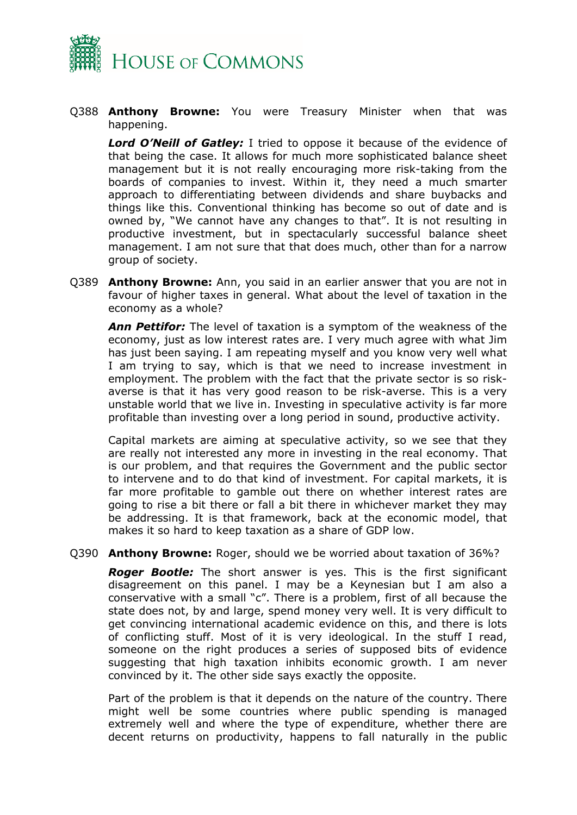

Q388 **Anthony Browne:** You were Treasury Minister when that was happening.

*Lord O'Neill of Gatley:* I tried to oppose it because of the evidence of that being the case. It allows for much more sophisticated balance sheet management but it is not really encouraging more risk-taking from the boards of companies to invest. Within it, they need a much smarter approach to differentiating between dividends and share buybacks and things like this. Conventional thinking has become so out of date and is owned by, "We cannot have any changes to that". It is not resulting in productive investment, but in spectacularly successful balance sheet management. I am not sure that that does much, other than for a narrow group of society.

Q389 **Anthony Browne:** Ann, you said in an earlier answer that you are not in favour of higher taxes in general. What about the level of taxation in the economy as a whole?

*Ann Pettifor:* The level of taxation is a symptom of the weakness of the economy, just as low interest rates are. I very much agree with what Jim has just been saying. I am repeating myself and you know very well what I am trying to say, which is that we need to increase investment in employment. The problem with the fact that the private sector is so riskaverse is that it has very good reason to be risk-averse. This is a very unstable world that we live in. Investing in speculative activity is far more profitable than investing over a long period in sound, productive activity.

Capital markets are aiming at speculative activity, so we see that they are really not interested any more in investing in the real economy. That is our problem, and that requires the Government and the public sector to intervene and to do that kind of investment. For capital markets, it is far more profitable to gamble out there on whether interest rates are going to rise a bit there or fall a bit there in whichever market they may be addressing. It is that framework, back at the economic model, that makes it so hard to keep taxation as a share of GDP low.

Q390 **Anthony Browne:** Roger, should we be worried about taxation of 36%?

*Roger Bootle:* The short answer is yes. This is the first significant disagreement on this panel. I may be a Keynesian but I am also a conservative with a small "c". There is a problem, first of all because the state does not, by and large, spend money very well. It is very difficult to get convincing international academic evidence on this, and there is lots of conflicting stuff. Most of it is very ideological. In the stuff I read, someone on the right produces a series of supposed bits of evidence suggesting that high taxation inhibits economic growth. I am never convinced by it. The other side says exactly the opposite.

Part of the problem is that it depends on the nature of the country. There might well be some countries where public spending is managed extremely well and where the type of expenditure, whether there are decent returns on productivity, happens to fall naturally in the public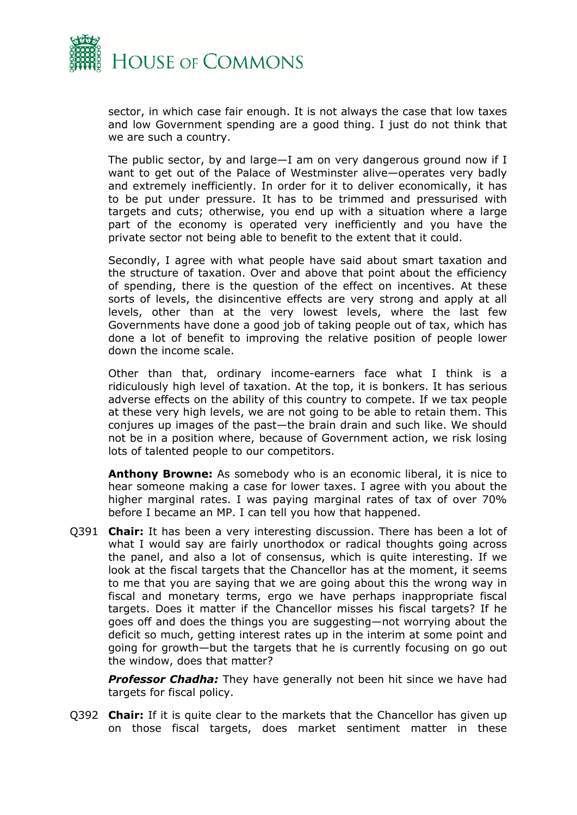

sector, in which case fair enough. It is not always the case that low taxes and low Government spending are a good thing. I just do not think that we are such a country.

The public sector, by and large—I am on very dangerous ground now if I want to get out of the Palace of Westminster alive—operates very badly and extremely inefficiently. In order for it to deliver economically, it has to be put under pressure. It has to be trimmed and pressurised with targets and cuts; otherwise, you end up with a situation where a large part of the economy is operated very inefficiently and you have the private sector not being able to benefit to the extent that it could.

Secondly, I agree with what people have said about smart taxation and the structure of taxation. Over and above that point about the efficiency of spending, there is the question of the effect on incentives. At these sorts of levels, the disincentive effects are very strong and apply at all levels, other than at the very lowest levels, where the last few Governments have done a good job of taking people out of tax, which has done a lot of benefit to improving the relative position of people lower down the income scale.

Other than that, ordinary income-earners face what I think is a ridiculously high level of taxation. At the top, it is bonkers. It has serious adverse effects on the ability of this country to compete. If we tax people at these very high levels, we are not going to be able to retain them. This conjures up images of the past—the brain drain and such like. We should not be in a position where, because of Government action, we risk losing lots of talented people to our competitors.

**Anthony Browne:** As somebody who is an economic liberal, it is nice to hear someone making a case for lower taxes. I agree with you about the higher marginal rates. I was paying marginal rates of tax of over 70% before I became an MP. I can tell you how that happened.

Q391 **Chair:** It has been a very interesting discussion. There has been a lot of what I would say are fairly unorthodox or radical thoughts going across the panel, and also a lot of consensus, which is quite interesting. If we look at the fiscal targets that the Chancellor has at the moment, it seems to me that you are saying that we are going about this the wrong way in fiscal and monetary terms, ergo we have perhaps inappropriate fiscal targets. Does it matter if the Chancellor misses his fiscal targets? If he goes off and does the things you are suggesting—not worrying about the deficit so much, getting interest rates up in the interim at some point and going for growth—but the targets that he is currently focusing on go out the window, does that matter?

**Professor Chadha:** They have generally not been hit since we have had targets for fiscal policy.

Q392 **Chair:** If it is quite clear to the markets that the Chancellor has given up on those fiscal targets, does market sentiment matter in these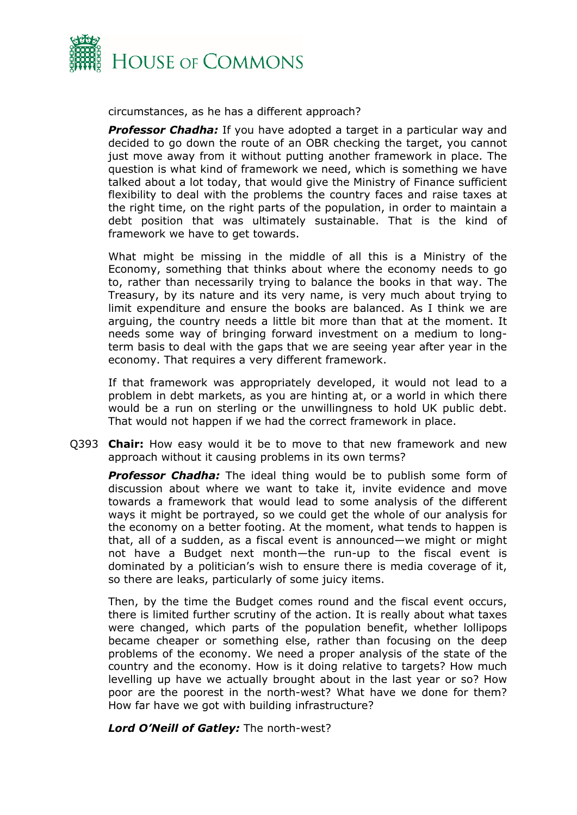

circumstances, as he has a different approach?

*Professor Chadha:* If you have adopted a target in a particular way and decided to go down the route of an OBR checking the target, you cannot just move away from it without putting another framework in place. The question is what kind of framework we need, which is something we have talked about a lot today, that would give the Ministry of Finance sufficient flexibility to deal with the problems the country faces and raise taxes at the right time, on the right parts of the population, in order to maintain a debt position that was ultimately sustainable. That is the kind of framework we have to get towards.

What might be missing in the middle of all this is a Ministry of the Economy, something that thinks about where the economy needs to go to, rather than necessarily trying to balance the books in that way. The Treasury, by its nature and its very name, is very much about trying to limit expenditure and ensure the books are balanced. As I think we are arguing, the country needs a little bit more than that at the moment. It needs some way of bringing forward investment on a medium to longterm basis to deal with the gaps that we are seeing year after year in the economy. That requires a very different framework.

If that framework was appropriately developed, it would not lead to a problem in debt markets, as you are hinting at, or a world in which there would be a run on sterling or the unwillingness to hold UK public debt. That would not happen if we had the correct framework in place.

Q393 **Chair:** How easy would it be to move to that new framework and new approach without it causing problems in its own terms?

**Professor Chadha:** The ideal thing would be to publish some form of discussion about where we want to take it, invite evidence and move towards a framework that would lead to some analysis of the different ways it might be portrayed, so we could get the whole of our analysis for the economy on a better footing. At the moment, what tends to happen is that, all of a sudden, as a fiscal event is announced—we might or might not have a Budget next month—the run-up to the fiscal event is dominated by a politician's wish to ensure there is media coverage of it, so there are leaks, particularly of some juicy items.

Then, by the time the Budget comes round and the fiscal event occurs, there is limited further scrutiny of the action. It is really about what taxes were changed, which parts of the population benefit, whether lollipops became cheaper or something else, rather than focusing on the deep problems of the economy. We need a proper analysis of the state of the country and the economy. How is it doing relative to targets? How much levelling up have we actually brought about in the last year or so? How poor are the poorest in the north-west? What have we done for them? How far have we got with building infrastructure?

*Lord O'Neill of Gatley:* The north-west?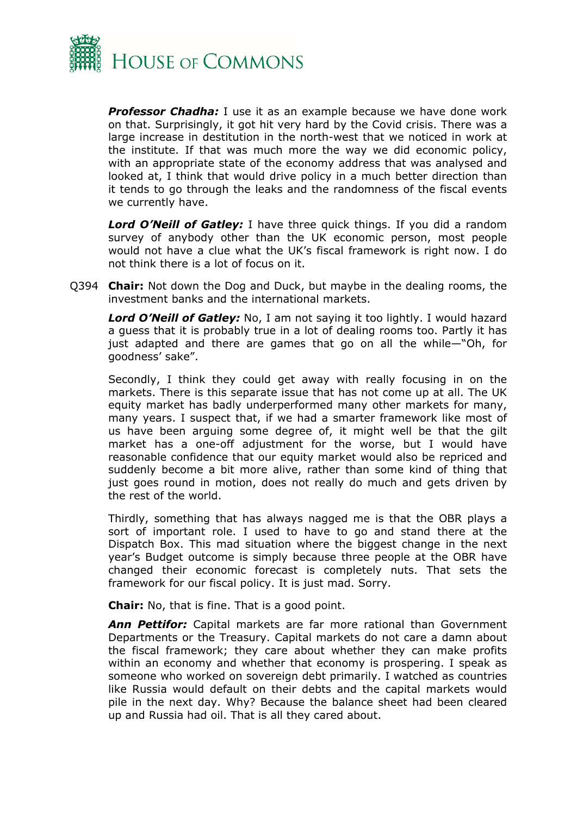

*Professor Chadha:* I use it as an example because we have done work on that. Surprisingly, it got hit very hard by the Covid crisis. There was a large increase in destitution in the north-west that we noticed in work at the institute. If that was much more the way we did economic policy, with an appropriate state of the economy address that was analysed and looked at, I think that would drive policy in a much better direction than it tends to go through the leaks and the randomness of the fiscal events we currently have.

*Lord O'Neill of Gatley:* I have three quick things. If you did a random survey of anybody other than the UK economic person, most people would not have a clue what the UK's fiscal framework is right now. I do not think there is a lot of focus on it.

Q394 **Chair:** Not down the Dog and Duck, but maybe in the dealing rooms, the investment banks and the international markets.

*Lord O'Neill of Gatley:* No, I am not saying it too lightly. I would hazard a guess that it is probably true in a lot of dealing rooms too. Partly it has just adapted and there are games that go on all the while—"Oh, for goodness' sake".

Secondly, I think they could get away with really focusing in on the markets. There is this separate issue that has not come up at all. The UK equity market has badly underperformed many other markets for many, many years. I suspect that, if we had a smarter framework like most of us have been arguing some degree of, it might well be that the gilt market has a one-off adjustment for the worse, but I would have reasonable confidence that our equity market would also be repriced and suddenly become a bit more alive, rather than some kind of thing that just goes round in motion, does not really do much and gets driven by the rest of the world.

Thirdly, something that has always nagged me is that the OBR plays a sort of important role. I used to have to go and stand there at the Dispatch Box. This mad situation where the biggest change in the next year's Budget outcome is simply because three people at the OBR have changed their economic forecast is completely nuts. That sets the framework for our fiscal policy. It is just mad. Sorry.

**Chair:** No, that is fine. That is a good point.

*Ann Pettifor:* Capital markets are far more rational than Government Departments or the Treasury. Capital markets do not care a damn about the fiscal framework; they care about whether they can make profits within an economy and whether that economy is prospering. I speak as someone who worked on sovereign debt primarily. I watched as countries like Russia would default on their debts and the capital markets would pile in the next day. Why? Because the balance sheet had been cleared up and Russia had oil. That is all they cared about.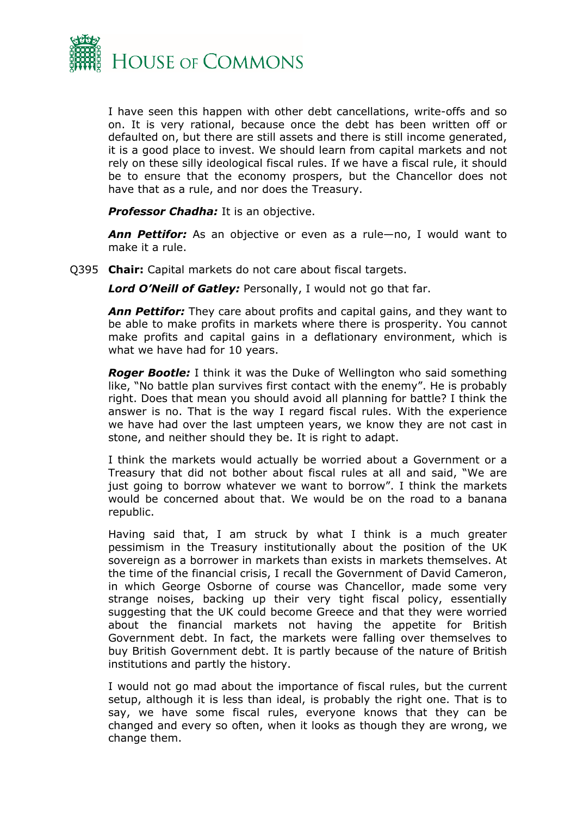

I have seen this happen with other debt cancellations, write-offs and so on. It is very rational, because once the debt has been written off or defaulted on, but there are still assets and there is still income generated, it is a good place to invest. We should learn from capital markets and not rely on these silly ideological fiscal rules. If we have a fiscal rule, it should be to ensure that the economy prospers, but the Chancellor does not have that as a rule, and nor does the Treasury.

*Professor Chadha:* It is an objective.

*Ann Pettifor:* As an objective or even as a rule—no, I would want to make it a rule.

Q395 **Chair:** Capital markets do not care about fiscal targets.

*Lord O'Neill of Gatley:* Personally, I would not go that far.

*Ann Pettifor:* They care about profits and capital gains, and they want to be able to make profits in markets where there is prosperity. You cannot make profits and capital gains in a deflationary environment, which is what we have had for 10 years.

*Roger Bootle:* I think it was the Duke of Wellington who said something like, "No battle plan survives first contact with the enemy". He is probably right. Does that mean you should avoid all planning for battle? I think the answer is no. That is the way I regard fiscal rules. With the experience we have had over the last umpteen years, we know they are not cast in stone, and neither should they be. It is right to adapt.

I think the markets would actually be worried about a Government or a Treasury that did not bother about fiscal rules at all and said, "We are just going to borrow whatever we want to borrow". I think the markets would be concerned about that. We would be on the road to a banana republic.

Having said that, I am struck by what I think is a much greater pessimism in the Treasury institutionally about the position of the UK sovereign as a borrower in markets than exists in markets themselves. At the time of the financial crisis, I recall the Government of David Cameron, in which George Osborne of course was Chancellor, made some very strange noises, backing up their very tight fiscal policy, essentially suggesting that the UK could become Greece and that they were worried about the financial markets not having the appetite for British Government debt. In fact, the markets were falling over themselves to buy British Government debt. It is partly because of the nature of British institutions and partly the history.

I would not go mad about the importance of fiscal rules, but the current setup, although it is less than ideal, is probably the right one. That is to say, we have some fiscal rules, everyone knows that they can be changed and every so often, when it looks as though they are wrong, we change them.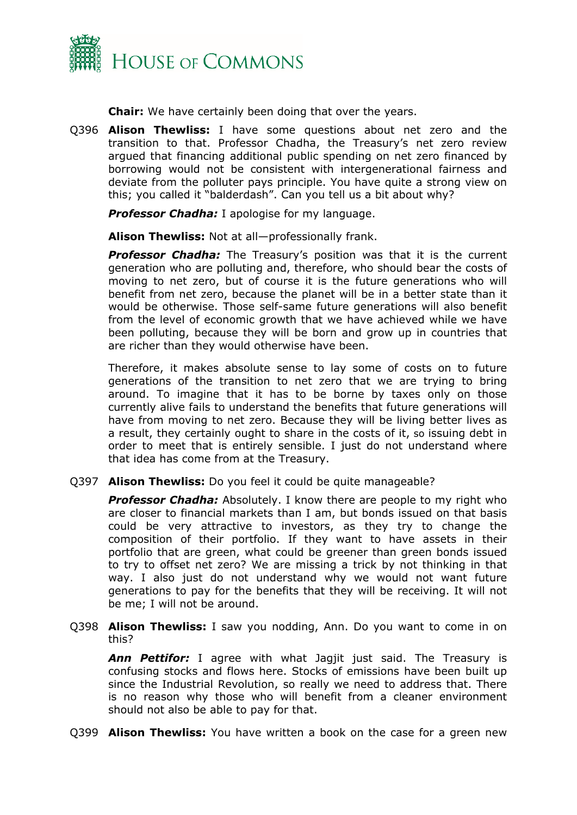

**Chair:** We have certainly been doing that over the years.

Q396 **Alison Thewliss:** I have some questions about net zero and the transition to that. Professor Chadha, the Treasury's net zero review argued that financing additional public spending on net zero financed by borrowing would not be consistent with intergenerational fairness and deviate from the polluter pays principle. You have quite a strong view on this; you called it "balderdash". Can you tell us a bit about why?

*Professor Chadha:* I apologise for my language.

**Alison Thewliss:** Not at all—professionally frank.

**Professor Chadha:** The Treasury's position was that it is the current generation who are polluting and, therefore, who should bear the costs of moving to net zero, but of course it is the future generations who will benefit from net zero, because the planet will be in a better state than it would be otherwise. Those self-same future generations will also benefit from the level of economic growth that we have achieved while we have been polluting, because they will be born and grow up in countries that are richer than they would otherwise have been.

Therefore, it makes absolute sense to lay some of costs on to future generations of the transition to net zero that we are trying to bring around. To imagine that it has to be borne by taxes only on those currently alive fails to understand the benefits that future generations will have from moving to net zero. Because they will be living better lives as a result, they certainly ought to share in the costs of it, so issuing debt in order to meet that is entirely sensible. I just do not understand where that idea has come from at the Treasury.

Q397 **Alison Thewliss:** Do you feel it could be quite manageable?

**Professor Chadha:** Absolutely. I know there are people to my right who are closer to financial markets than I am, but bonds issued on that basis could be very attractive to investors, as they try to change the composition of their portfolio. If they want to have assets in their portfolio that are green, what could be greener than green bonds issued to try to offset net zero? We are missing a trick by not thinking in that way. I also just do not understand why we would not want future generations to pay for the benefits that they will be receiving. It will not be me; I will not be around.

Q398 **Alison Thewliss:** I saw you nodding, Ann. Do you want to come in on this?

*Ann Pettifor:* I agree with what Jagjit just said. The Treasury is confusing stocks and flows here. Stocks of emissions have been built up since the Industrial Revolution, so really we need to address that. There is no reason why those who will benefit from a cleaner environment should not also be able to pay for that.

Q399 **Alison Thewliss:** You have written a book on the case for a green new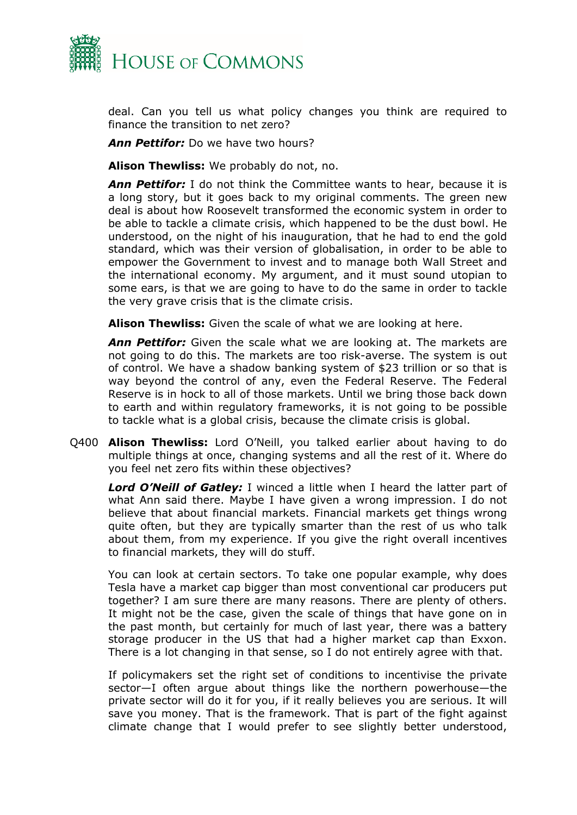

deal. Can you tell us what policy changes you think are required to finance the transition to net zero?

*Ann Pettifor:* Do we have two hours?

**Alison Thewliss:** We probably do not, no.

*Ann Pettifor:* I do not think the Committee wants to hear, because it is a long story, but it goes back to my original comments. The green new deal is about how Roosevelt transformed the economic system in order to be able to tackle a climate crisis, which happened to be the dust bowl. He understood, on the night of his inauguration, that he had to end the gold standard, which was their version of globalisation, in order to be able to empower the Government to invest and to manage both Wall Street and the international economy. My argument, and it must sound utopian to some ears, is that we are going to have to do the same in order to tackle the very grave crisis that is the climate crisis.

**Alison Thewliss:** Given the scale of what we are looking at here.

*Ann Pettifor:* Given the scale what we are looking at. The markets are not going to do this. The markets are too risk-averse. The system is out of control. We have a shadow banking system of \$23 trillion or so that is way beyond the control of any, even the Federal Reserve. The Federal Reserve is in hock to all of those markets. Until we bring those back down to earth and within regulatory frameworks, it is not going to be possible to tackle what is a global crisis, because the climate crisis is global.

Q400 **Alison Thewliss:** Lord O'Neill, you talked earlier about having to do multiple things at once, changing systems and all the rest of it. Where do you feel net zero fits within these objectives?

*Lord O'Neill of Gatley:* I winced a little when I heard the latter part of what Ann said there. Maybe I have given a wrong impression. I do not believe that about financial markets. Financial markets get things wrong quite often, but they are typically smarter than the rest of us who talk about them, from my experience. If you give the right overall incentives to financial markets, they will do stuff.

You can look at certain sectors. To take one popular example, why does Tesla have a market cap bigger than most conventional car producers put together? I am sure there are many reasons. There are plenty of others. It might not be the case, given the scale of things that have gone on in the past month, but certainly for much of last year, there was a battery storage producer in the US that had a higher market cap than Exxon. There is a lot changing in that sense, so I do not entirely agree with that.

If policymakers set the right set of conditions to incentivise the private sector—I often argue about things like the northern powerhouse—the private sector will do it for you, if it really believes you are serious. It will save you money. That is the framework. That is part of the fight against climate change that I would prefer to see slightly better understood,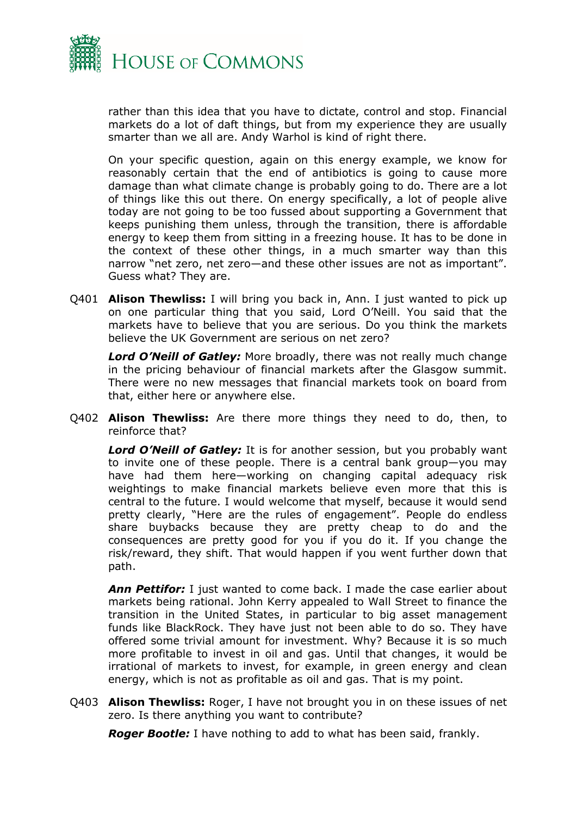

rather than this idea that you have to dictate, control and stop. Financial markets do a lot of daft things, but from my experience they are usually smarter than we all are. Andy Warhol is kind of right there.

On your specific question, again on this energy example, we know for reasonably certain that the end of antibiotics is going to cause more damage than what climate change is probably going to do. There are a lot of things like this out there. On energy specifically, a lot of people alive today are not going to be too fussed about supporting a Government that keeps punishing them unless, through the transition, there is affordable energy to keep them from sitting in a freezing house. It has to be done in the context of these other things, in a much smarter way than this narrow "net zero, net zero—and these other issues are not as important". Guess what? They are.

Q401 **Alison Thewliss:** I will bring you back in, Ann. I just wanted to pick up on one particular thing that you said, Lord O'Neill. You said that the markets have to believe that you are serious. Do you think the markets believe the UK Government are serious on net zero?

*Lord O'Neill of Gatley:* More broadly, there was not really much change in the pricing behaviour of financial markets after the Glasgow summit. There were no new messages that financial markets took on board from that, either here or anywhere else.

Q402 **Alison Thewliss:** Are there more things they need to do, then, to reinforce that?

*Lord O'Neill of Gatley:* It is for another session, but you probably want to invite one of these people. There is a central bank group—you may have had them here—working on changing capital adequacy risk weightings to make financial markets believe even more that this is central to the future. I would welcome that myself, because it would send pretty clearly, "Here are the rules of engagement". People do endless share buybacks because they are pretty cheap to do and the consequences are pretty good for you if you do it. If you change the risk/reward, they shift. That would happen if you went further down that path.

*Ann Pettifor:* I just wanted to come back. I made the case earlier about markets being rational. John Kerry appealed to Wall Street to finance the transition in the United States, in particular to big asset management funds like BlackRock. They have just not been able to do so. They have offered some trivial amount for investment. Why? Because it is so much more profitable to invest in oil and gas. Until that changes, it would be irrational of markets to invest, for example, in green energy and clean energy, which is not as profitable as oil and gas. That is my point.

Q403 **Alison Thewliss:** Roger, I have not brought you in on these issues of net zero. Is there anything you want to contribute?

*Roger Bootle:* I have nothing to add to what has been said, frankly.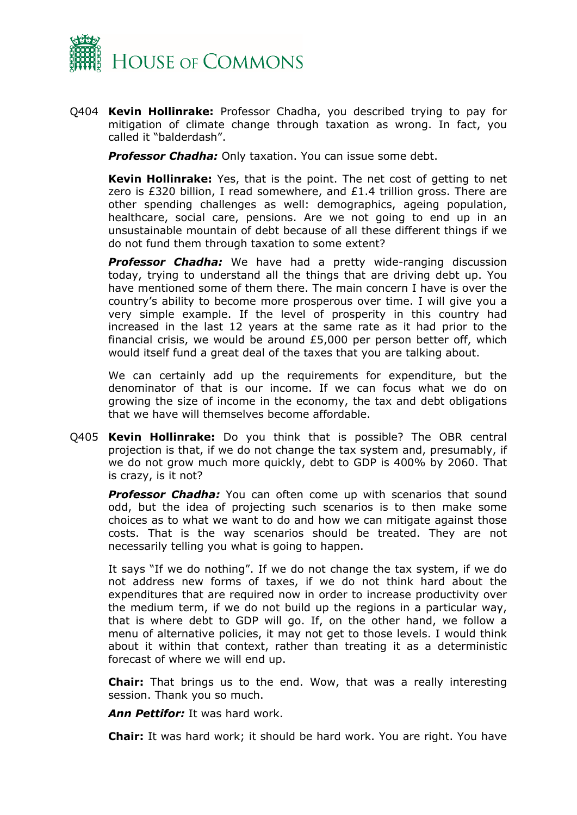

Q404 **Kevin Hollinrake:** Professor Chadha, you described trying to pay for mitigation of climate change through taxation as wrong. In fact, you called it "balderdash".

*Professor Chadha:* Only taxation. You can issue some debt.

**Kevin Hollinrake:** Yes, that is the point. The net cost of getting to net zero is £320 billion, I read somewhere, and £1.4 trillion gross. There are other spending challenges as well: demographics, ageing population, healthcare, social care, pensions. Are we not going to end up in an unsustainable mountain of debt because of all these different things if we do not fund them through taxation to some extent?

*Professor Chadha:* We have had a pretty wide-ranging discussion today, trying to understand all the things that are driving debt up. You have mentioned some of them there. The main concern I have is over the country's ability to become more prosperous over time. I will give you a very simple example. If the level of prosperity in this country had increased in the last 12 years at the same rate as it had prior to the financial crisis, we would be around £5,000 per person better off, which would itself fund a great deal of the taxes that you are talking about.

We can certainly add up the requirements for expenditure, but the denominator of that is our income. If we can focus what we do on growing the size of income in the economy, the tax and debt obligations that we have will themselves become affordable.

Q405 **Kevin Hollinrake:** Do you think that is possible? The OBR central projection is that, if we do not change the tax system and, presumably, if we do not grow much more quickly, debt to GDP is 400% by 2060. That is crazy, is it not?

**Professor Chadha:** You can often come up with scenarios that sound odd, but the idea of projecting such scenarios is to then make some choices as to what we want to do and how we can mitigate against those costs. That is the way scenarios should be treated. They are not necessarily telling you what is going to happen.

It says "If we do nothing". If we do not change the tax system, if we do not address new forms of taxes, if we do not think hard about the expenditures that are required now in order to increase productivity over the medium term, if we do not build up the regions in a particular way, that is where debt to GDP will go. If, on the other hand, we follow a menu of alternative policies, it may not get to those levels. I would think about it within that context, rather than treating it as a deterministic forecast of where we will end up.

**Chair:** That brings us to the end. Wow, that was a really interesting session. Thank you so much.

*Ann Pettifor:* It was hard work.

**Chair:** It was hard work; it should be hard work. You are right. You have